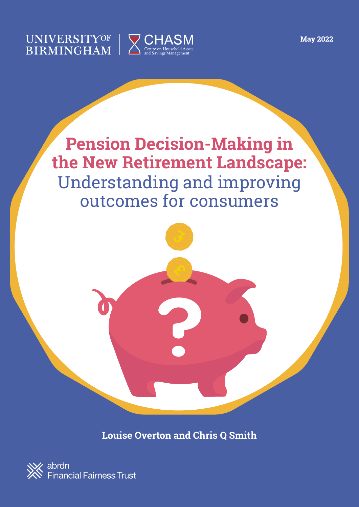**May 2022**

### UNIVERSITYOF **BIRMINGHAM**







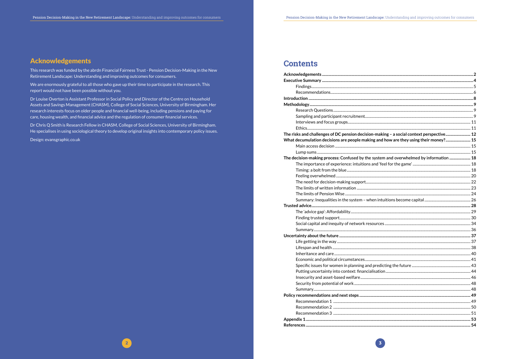### **Acknowledgements**

This research was funded by the abrdn Financial Fairness Trust - Pension Decision-Making in the New Retirement Landscape: Understanding and improving outcomes for consumers.

We are enormously grateful to all those who gave up their time to participate in the research. This report would not have been possible without you.

Dr Louise Overton is Assistant Professor in Social Policy and Director of the Centre on Household Assets and Savings Management (CHASM), College of Social Sciences, University of Birmingham. Her research interests focus on older people and financial well-being, including pensions and paying for care, housing wealth, and financial advice and the regulation of consumer financial services.

Dr Chris Q Smith is Research Fellow in CHASM, College of Social Sciences, University of Birmingham. He specialises in using sociological theory to develop original insights into contemporary policy issues.

Design: evansgraphic.co.uk

### **Contents**

| The risks and challenges of DC pension decision-making - a social context perspective 12 |  |
|------------------------------------------------------------------------------------------|--|
| What decumulation decisions are people making and how are they using their money? 15     |  |
|                                                                                          |  |
|                                                                                          |  |
| The decision-making process: Confused by the system and overwhelmed by information  18   |  |
|                                                                                          |  |
|                                                                                          |  |
|                                                                                          |  |
|                                                                                          |  |
|                                                                                          |  |
|                                                                                          |  |
|                                                                                          |  |
|                                                                                          |  |
|                                                                                          |  |
|                                                                                          |  |
|                                                                                          |  |
|                                                                                          |  |
|                                                                                          |  |
|                                                                                          |  |
|                                                                                          |  |
|                                                                                          |  |
|                                                                                          |  |
|                                                                                          |  |
|                                                                                          |  |
|                                                                                          |  |
|                                                                                          |  |
|                                                                                          |  |
|                                                                                          |  |
|                                                                                          |  |
|                                                                                          |  |
|                                                                                          |  |
|                                                                                          |  |
|                                                                                          |  |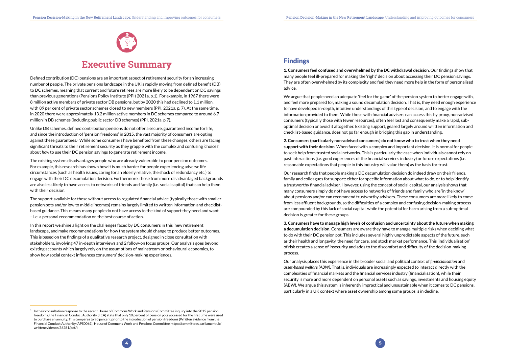



## **Executive Summary**

<span id="page-2-0"></span>Defined contribution (DC) pensions are an important aspect of retirement security for an increasing number of people. The private pensions landscape in the UK is rapidly moving from defined benefit (DB) to DC schemes, meaning that current and future retirees are more likely to be dependent on DC savings than previous generations (Pensions Policy Institute (PPI) 2021a, p.1). For example, in 1967 there were 8 million active members of private sector DB pensions, but by 2020 this had declined to 1.1 million, with 89 per cent of private sector schemes closed to new members (PPI, 2021a. p. 7). At the same time, in 2020 there were approximately 13.2 million active members in DC schemes compared to around 6.7 million in DB schemes (including public sector DB schemes) (PPI, 2021a, p.7).

Unlike DB schemes, defined contribution pensions do not offer a secure, guaranteed income for life, and since the introduction of 'pension freedoms' in 2015, the vast majority of consumers are opting against these guarantees.1 While some consumers have benefited from these changes, others are facing significant threats to their retirement security as they grapple with the complex and confusing 'choices' about *how* to use their DC pension savings to generate retirement income.

The existing system disadvantages people who are already vulnerable to poor pension outcomes. For example, this research has shown how it is much harder for people experiencing adverse life circumstances (such as health issues, caring for an elderly relative, the shock of redundancy etc.) to engage with their DC decumulation decision. Furthermore, those from more disadvantaged backgrounds are also less likely to have access to networks of friends and family (i.e. social capital) that can help them with their decision.

The support available for those without access to regulated financial advice (typically those with smaller pension pots and/or low to middle incomes) remains largely limited to written information and checklistbased guidance. This means many people do not have access to the kind of support they need and want – i.e. a personal recommendation on the best course of action.

In this report we shine a light on the challenges faced by DC consumers in this 'new retirement landscape', and make recommendations for how the system should change to produce better outcomes. This is based on the findings of a qualitative research project, designed in close consultation with stakeholders, involving 47 in-depth interviews and 2 follow-on focus groups. Our analysis goes beyond existing accounts which largely rely on the assumptions of mainstream or behavioural economics, to show how social context influences consumers' decision-making experiences.

### Findings

**1. Consumers feel confused and overwhelmed by the DC withdrawal decision**. Our findings show that many people feel ill-prepared for making the 'right' decision about accessing their DC pension savings. They are often overwhelmed by its complexity and feel they need more help in the form of personalised advice.

We argue that people need an adequate 'feel for the game' of the pension system to better engage with, and feel more prepared for, making a sound decumulation decision. That is, they need enough experience to have developed in-depth, intuitive understandings of this type of decision, and to engage with the information provided to them. While those with financial advisers can access this by proxy, non-advised consumers (typically those with fewer resources), often feel lost and consequently make a rapid, suboptimal decision or avoid it altogether. Existing support, geared largely around written information and checklist-based guidance, does not go far enough in bridging this gap in understanding.

**2. Consumers (particularly non-advised consumers) do not know who to trust when they need support with their decision**. When faced with a complex and important decision, it is normal for people to seek help from trusted social networks. This is particularly the case when individuals cannot rely on past interactions (i.e. good experiences of the financial services industry) or future expectations (i.e. reasonable expectations that people in this industry will value them) as the basis for trust.

Our research finds that people making a DC decumulation decision do indeed draw on their friends, family and colleagues for support: either for specific information about what to do, or to help identify a trustworthy financial adviser. However, using the concept of social capital, our analysis shows that many consumers simply do not have access to networks of friends and family who are 'in the know' about pensions and/or can recommend trustworthy advisers. These consumers are more likely to come from less affluent backgrounds, so the difficulties of a complex and confusing decision-making process are compounded by this lack of social capital, while the potential for harm arising from a sub-optimal decision is greater for these groups.

**3. Consumers have to manage high levels of confusion and uncertainty about the future when making a decumulation decision.** Consumers are aware they have to manage multiple risks when deciding what to do with their DC pension pot. This includes several highly unpredictable aspects of the future, such as their health and longevity, the need for care, and stock market performance. This 'individualisation' of risk creates a sense of insecurity and adds to the discomfort and difficulty of the decision-making process.

Our analysis places this experience in the broader social and political context of *financialisation* and *asset-based welfare (ABW).* That is, individuals are increasingly expected to interact directly with the complexities of financial markets and the financial services industry (financialisation), while their security is more and more dependent on personal assets such as savings, investments and housing equity (ABW). We argue this system is inherently impractical and unsustainable when it comes to DC pensions, particularly in a UK context where asset ownership among some groups is in decline.

 $1$  In their consultation response to the recent House of Commons Work and Pensions Committee inquiry into the 2015 pension freedoms, the Financial Conduct Authority (FCA) state that only 10 percent of pension pots accessed for the first time were used to purchase an annuity. This compares to 90 percent prior to the introduction of pension freedoms (Written evidence from the Financial Conduct Authority (APS0061), House of Commons Work and Pensions Committee [https://committees.parliament.uk/](https://committees.parliament.uk/writtenevidence/36281/pdf/) [writtenevidence/36281/pdf/](https://committees.parliament.uk/writtenevidence/36281/pdf/))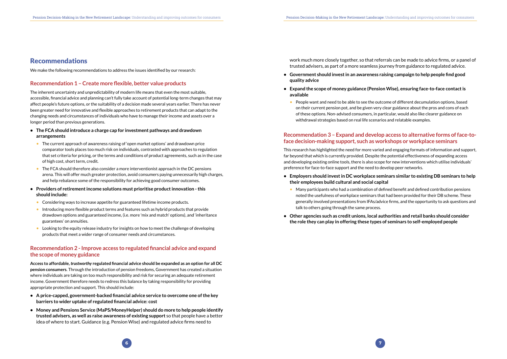#### <span id="page-3-0"></span>Recommendations

We make the following recommendations to address the issues identified by our research:

work much more closely together, so that referrals can be made to advice firms, or a panel of trusted advisers, as part of a more seamless journey from guidance to regulated advice.

- **• Government should invest in an awareness raising campaign to help people find good quality advice**
- **• Expand the scope of money guidance (Pension Wise), ensuring face-to-face contact is available** 
	- People want and need to be able to see the outcome of different decumulation options, based on their current pension pot, and be given very clear guidance about the pros and cons of each of these options. Non-advised consumers, in particular, would also like clearer guidance on withdrawal strategies based on real life scenarios and relatable examples.

#### **Recommendation 3 – Expand and develop access to alternative forms of face-toface decision-making support, such as workshops or workplace seminars**

This research has highlighted the need for more varied and engaging formats of information and support, far beyond that which is currently provided. Despite the potential effectiveness of expanding access and developing existing online tools, there is also scope for new interventions which utilise individuals' preference for face-to-face support and the need to develop peer networks.

- **• Employers should invest in DC workplace seminars similar to existing DB seminars to help their employees build cultural and social capital**
	- Many participants who had a combination of defined benefit and defined contribution pensions talk to others going through the same process.
- **• Other agencies such as credit unions, local authorities and retail banks should consider the role they can play in offering these types of seminars to self-employed people**

noted the usefulness of workplace seminars that had been provided for their DB scheme. These generally involved presentations from IFAs/advice firms, and the opportunity to ask questions and

#### **Recommendation 1 – Create more flexible, better value products**

The inherent uncertainty and unpredictability of modern life means that even the most suitable, accessible, financial advice and planning can't fully take account of potential long-term changes that may affect people's future options, or the suitability of a decision made several years earlier. There has never been greater need for innovative and flexible approaches to retirement products that can adapt to the changing needs and circumstances of individuals who have to manage their income and assets over a longer period than previous generations.

- **• The FCA should introduce a charge cap for investment pathways and drawdown arrangements**
	- The current approach of awareness raising of 'open market options' and drawdown price comparator tools places too much risk on individuals, contrasted with approaches to regulation that set criteria for pricing, or the terms and conditions of product agreements, such as in the case of high cost, short term, credit.
	- The FCA should therefore also consider a more interventionist approach in the DC pensions arena. This will offer much greater protection, avoid consumers paying unnecessarily high charges, and help rebalance some of the responsibility for achieving good consumer outcomes.
- **• Providers of retirement income solutions must prioritise product innovation this should include:**
	- Considering ways to increase appetite for guaranteed lifetime income products.
	- Introducing more flexible product terms and features such as hybrid products that provide drawdown options and guaranteed income, (i.e. more 'mix and match' options), and 'inheritance guarantees' on annuities.
	- Looking to the equity release industry for insights on how to meet the challenge of developing products that meet a wider range of consumer needs and circumstances.

#### **Recommendation 2 - Improve access to regulated financial advice and expand the scope of money guidance**

**Access to affordable,** *trustworthy* **regulated financial advice should be expanded as an option for all DC pension consumers**. Through the introduction of pension freedoms, Government has created a situation where individuals are taking on too much responsibility and risk for securing an adequate retirement income. Government therefore needs to redress this balance by taking responsibility for providing appropriate protection and support. This should include:

- **• A price-capped, government-backed financial advice service to overcome one of the key barriers to wider uptake of regulated financial advice: cost**
- **• Money and Pensions Service (MaPS/MoneyHelper) should do more to help people identify trusted advisers, as well as raise awareness of existing support** so that people have a better idea of where to start. Guidance (e.g. Pension Wise) and regulated advice firms need to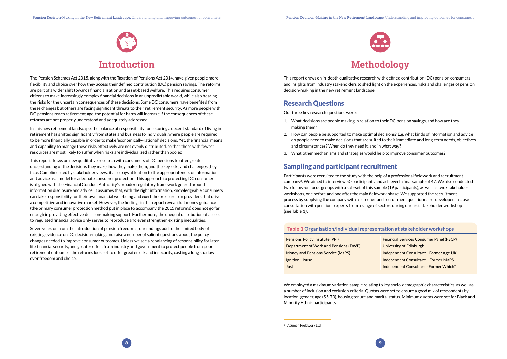



<span id="page-4-0"></span>The Pension Schemes Act 2015, along with the Taxation of Pensions Act 2014, have given people more flexibility and choice over how they access their defined contribution (DC) pension savings. The reforms are part of a wider shift towards financialisation and asset-based welfare. This requires consumer citizens to make increasingly complex financial decisions in an unpredictable world, while also bearing the risks for the uncertain consequences of these decisions. Some DC consumers have benefited from these changes but others are facing significant threats to their retirement security. As more people with DC pensions reach retirement age, the potential for harm will increase if the consequences of these reforms are not properly understood and adequately addressed.

In this new retirement landscape, the balance of responsibility for securing a decent standard of living in retirement has shifted significantly from states and business to individuals, where people are required to be more financially capable in order to make 'economically-rational' decisions. Yet, the financial means and capability to manage these risks effectively are not evenly distributed, so that those with fewest resources are most likely to suffer when risks are individualized rather than pooled.

This report draws on new qualitative research with consumers of DC pensions to offer greater understanding of the decisions they make, how they make them, and the key risks and challenges they face. Complimented by stakeholder views, it also pays attention to the appropriateness of information and advice as a model for adequate consumer protection. This approach to protecting DC consumers is aligned with the Financial Conduct Authority's broader regulatory framework geared around information disclosure and advice. It assumes that, with the right information, knowledgeable consumers can take responsibility for their own financial well-being and exert the pressures on providers that drive a competitive and innovative market. However, the findings in this report reveal that money guidance (the primary consumer protection method put in place to accompany the 2015 reforms) does not go far enough in providing effective decision-making support. Furthermore, the unequal distribution of access to regulated financial advice only serves to reproduce and even strengthen existing inequalities.

Seven years on from the introduction of pension freedoms, our findings add to the limited body of existing evidence on DC decision-making and raise a number of salient questions about the policy changes needed to improve consumer outcomes. Unless we see a rebalancing of responsibility for later life financial security, and greater effort from industry and government to protect people from poor retirement outcomes, the reforms look set to offer greater risk and insecurity, casting a long shadow over freedom and choice.



# **Methodology**

This report draws on in-depth qualitative research with defined contribution (DC) pension consumers and insights from industry stakeholders to shed light on the experiences, risks and challenges of pension decision-making in the new retirement landscape.

#### Research Questions

Our three key research questions were:

- 1. What decisions are people making in relation to their DC pension savings, and how are they making them?
- 2. How can people be supported to make optimal decisions? E.g. what kinds of information and advice and circumstances? When do they need it, and in what way?
- 3. What other mechanisms and strategies would help to improve consumer outcomes?

do people need to make decisions that are suited to their immediate and long-term needs, objectives

- **Financial Services Consumer Panel (FSCP)**
- University of Edinburgh
- Independent Consultant Former Age UK
- Independent Consultant Former MaPS
- Independent Consultant Former Which?



### Sampling and participant recruitment

Participants were recruited to the study with the help of a professional fieldwork and recruitment company2. We aimed to interview 50 participants and achieved a final sample of 47. We also conducted two follow-on focus groups with a sub-set of this sample (19 participants), as well as two stakeholder workshops, one before and one after the main fieldwork phase. We supported the recruitment process by supplying the company with a screener and recruitment questionnaire, developed in close consultation with pensions experts from a range of sectors during our first stakeholder workshop (see Table 1).

#### **Table 1 Organisation/individual representation at stakeholder workshops**

| Pensions Policy Institute (PPI)       |  |
|---------------------------------------|--|
| )epartment of Work and Pensions (DWP) |  |
| Money and Pensions Service (MaPS)     |  |
| gnition House                         |  |
| lust                                  |  |

We employed a maximum variation sample relating to key socio-demographic characteristics, as well as a number of inclusion and exclusion criteria. Quotas were set to ensure a good mix of respondents by location, gender, age (55-70), housing tenure and marital status. Minimum quotas were set for Black and Minority Ethnic participants.

<sup>2</sup> Acumen Fieldwork Ltd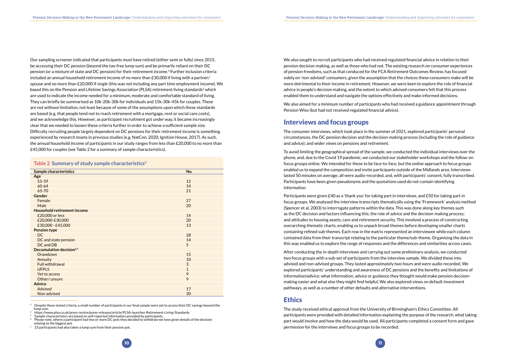<span id="page-5-0"></span>Our sampling screener indicated that participants must have retired (either semi or fully) since 2015, be accessing their DC pension (beyond the tax-free lump sum) and be primarily reliant on their DC pension (or a mixture of state and DC pension) for their retirement income.<sup>3</sup> Further inclusion criteria included an annual household retirement income of no more than £30,000 if living with a partner/ spouse and no more than £20,000 if single (this was not including any part time employment income). We based this on the Pension and Lifetime Savings Association (PLSA) retirement living standards<sup>5</sup> which are used to indicate the income needed for a minimum, moderate and comfortable standard of living. They can briefly be summarised as 10k-20k-30k for individuals and 15k-30k-45k for couples. These are not without limitation, not least because of some of the assumptions upon which these standards are based (e.g. that people tend not to reach retirement with a mortgage, rent or social care costs), and we acknowledge this. However, as participant recruitment got under way, it became increasingly clear that we needed to loosen these criteria further in order to achieve a sufficient sample size. Difficulty recruiting people largely dependent on DC pensions for their retirement income is something experienced by research teams in previous studies (e.g. NatCen, 2020; Ignition House, 2017). As such, the annual household income of participants in our study ranges from less than £20,000 to no more than £45,000 for couples (see Table 2 for a summary of sample characteristics).

#### Table 2 Summary of study sample characteristics<sup>5</sup>

We also sought to recruit participants who had received regulated financial advice in relation to their pension decision-making, as well as those who had not. The existing research on consumer experiences of pension freedoms, such as that conduced for the FCA Retirement Outcomes Review, has focused solely on 'non-advised' consumers, given the assumption that the choices these consumers make will be more detrimental to their income in retirement. However, we were keen to explore the role of financial advice in people's decision making, and the extent to which advised consumers felt that this process enabled them to understand and navigate the options effectively and make informed decisions.

We also aimed for a minimum number of participants who had received a guidance appointment through Pension Wise (but had not received regulated financial advice).

#### Interviews and focus groups

The consumer interviews, which took place in the summer of 2021, explored participants' personal circumstances, the DC pension decision and the decision-making process (including the role of guidance and advice); and wider views on pensions and retirement.

To avoid limiting the geographical spread of the sample, we conducted the individual interviews over the phone, and, due to the Covid 19 pandemic, we conducted our stakeholder workshops and the follow-on focus groups online. We intended for these to be face-to-face, but the online approach to focus groups enabled us to expand the composition and invite participants outside of the Midlands area. Interviews lasted 50 minutes on average, all were audio-recorded, and, with participants' consent, fully transcribed. Participants have been given pseudonyms and the quotations used do not contain identifying information

| <b>Sample characteristics</b>        | No.          |
|--------------------------------------|--------------|
| Age                                  |              |
| 55-59                                | 12           |
| 60-64                                | 14           |
| 65-70                                | 21           |
| <b>Gender</b>                        |              |
| Female                               | 27           |
| Male                                 | 20           |
| <b>Household retirement income</b>   |              |
| £20,000 or less                      | 14           |
| £20,000-£30,000                      | 20           |
| £30,000 - £45,000                    | 13           |
| <b>Pension type</b>                  |              |
| DC                                   | 28           |
| DC and state pension                 | 14           |
| DC and DB                            | 5            |
| Decumulation decision <sup>6,7</sup> |              |
| <b>Drawdown</b>                      | 15           |
| Annuity                              | 10           |
| <b>Full withdrawal</b>               | 3            |
| <b>UFPLS</b>                         | $\mathbf{1}$ |
| Yet to access                        | 9            |
| Other/unsure                         | 9            |
| <b>Advice</b>                        |              |
| Advised                              | 17           |
| Non-advised                          | 30           |

 $3$  Despite these stated criteria, a small number of participants in our final sample were yet to access their DC savings beyond the lump sum. 4 <https://www.plsa.co.uk/press-centre/press-releases/article/PLSA-launches-Retirement-Living-Standards>

Participants were given £40 as a 'thank you' for taking part in interviews, and £50 for taking part in focus groups. We analysed the interview transcripts thematically using the 'Framework' analysis method (Spencer et al, 2003) to interrogate patterns within the data. This was done along key themes such as the DC decision and factors influencing this; the role of advice and the decision-making process; and attitudes to housing assets, care and retirement security. This involved a process of constructing overarching thematic charts, enabling us to unpack broad themes before developing smaller charts containing refined sub-themes. Each row in the matrix represented an interviewee while each column contained data from their transcript relating to the particular theme/sub-theme. Organising the data in this way enabled us to explore the range of responses and the differences and similarities across cases.

After conducting the in-depth interviews and carrying out some preliminary analysis, we conducted two focus groups with a sub-set of participants from the interview sample. We divided these into advised and non-advised groups. They lasted approximately two hours and were audio recorded. We explored participants' understanding and awareness of DC pensions and the benefits and limitations of information/advice; what information, advice or guidance they thought would make pension decisionmaking easier and what else they might find helpful. We also explored views on default investment pathways, as well as a number of other defaults and alternative interventions.

#### **Ethics**

The study received ethical approval from the University of Birmingham's Ethics Committee. All participants were provided with detailed information explaining the purpose of the research, what taking part would involve and how the data would be used. All participants completed a consent form and gave permission for the interviews and focus groups to be recorded.

 $^6$  Please note, where a participant had two or more DC pots they decided to withdraw we have given details of the decision relating to the biggest pot.

 $7\quad$  33 participants had also taken a lump sum from their pension pot.

<sup>5</sup> Sample characteristics are based on self-reported information provided by participants.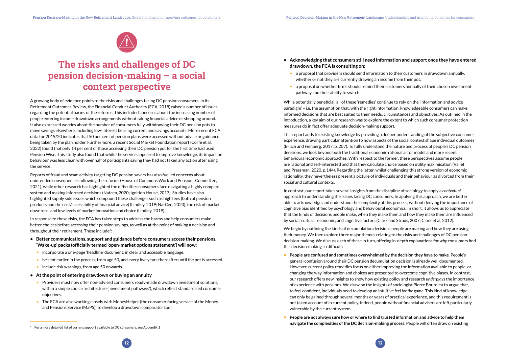



# <span id="page-6-0"></span>**The risks and challenges of DC pension decision-making – a social context perspective**

A growing body of evidence points to the risks and challenges facing DC pension consumers. In its Retirement Outcomes Review, the Financial Conduct Authority (FCA, 2018) raised a number of issues regarding the potential harms of the reforms. This included concerns about the increasing number of people entering income drawdown arrangements without taking financial advice or shopping around. It also expressed worries about the number of consumers fully withdrawing their DC pension pots to move savings elsewhere, including low-interest bearing current and savings accounts. More recent FCA data for 2019/20 indicates that 50 per cent of pension plans were accessed without advice or guidance being taken by the plan holder. Furthermore, a recent Social Market Foundation report (Corfe et al, 2022) found that only 14 per cent of those accessing their DC pension pot for the first time had used Pension Wise. This study also found that while the service appeared to improve knowledge, its impact on behaviour was less clear, with over half of participants saying they had not taken any action after using the service.

In response to these risks, the FCA has taken steps to address the harms and help consumers make better choices before accessing their pension savings, as well as at the point of making a decision and throughout their retirement. These include<sup>8</sup>:

Reports of fraud and scam activity targeting DC pension savers has also fuelled concerns about unintended consequences following the reforms (House of Commons Work and Pensions Committee, 2021), while other research has highlighted the difficulties consumers face navigating a highly complex system and making informed decisions (Natcen, 2020; Ignition House, 2017). Studies have also highlighted supply side issues which compound these challenges such as high fees (both of pension products and the cost/accessibility of financial advice) (Lindley, 2019; NatCen, 2020), the risk of market downturn, and low levels of market innovation and choice (Lindley, 2019).

- **• Better communications, support and guidance before consumers access their pensions. 'Wake-up' packs (officially termed 'open-market options statement') will now:**
	- incorporate a one-page 'headline' document, in clear and accessible language.
	- be sent earlier in the process, from age 50, and every five years thereafter until the pot is accessed.
	- include risk warnings, from age 50 onwards.
- **• At the point of entering drawdown or buying an annuity**
	- Providers must now offer non-advised consumers ready-made drawdown investment solutions, within a simple choice architecture ('investment pathways'), which reflect standardised consumer objectives.
	- The FCA are also working closely with MoneyHelper (the consumer facing service of the Money and Pensions Service (MaPS)) to develop a drawdown comparator tool.
- **• People are confused and sometimes overwhelmed by the decision they have to make***.* People's general confusion around their DC pension decumulation decision is already well documented. However, current policy remedies focus on either improving the information available to people, or changing the way information and choices are presented to overcome cognitive biases. In contrast, our research offers new insights to show how existing policy and research *underplays* the importance of experience with pensions. We draw on the insights of sociologist Pierre Bourdieu to argue that, to feel confident, individuals need to develop an intuitive *feel for the game.* This kind of knowledge can only be gained through several months or years of practical experience, and this requirement is not taken account of in current policy. Indeed, people without financial advisers are left particularly vulnerable by the current system.
- **• People are not always sure how or where to find trusted information and advice to help them navigate the complexities of the DC decision-making process**. People will often draw on existing<br><sup>8</sup> For a more detailed list of current support available to DC consumers, see Appendix 1
- **• Acknowledging that consumers still need information and support once they have entered drawdown, the FCA is consulting on:**
	- a proposal that providers should send information to their customers in drawdown annually, whether or not they are currently drawing an income from their pot.
	- a proposal on whether firms should remind their customers annually of their chosen investment pathway and their ability to switch.

While potentially beneficial, all of these 'remedies' continue to rely on the 'information and advice paradigm' – i.e. the assumption that, with the right information, knowledgeable consumers can make informed decisions that are best suited to their needs, circumstances and objectives. As outlined in the introduction, a key aim of our research was to explore the extent to which such consumer protection measures do in fact offer adequate decision-making support.

This report adds to existing knowledge by providing a deeper understanding of the subjective consumer experience, drawing particular attention to how aspects of the social context shape individual outcomes (Bruch and Feinberg, 2017, p. 207). To fully understand the nature and process of people's DC pension decisions, we look beyond both the traditional economic rational actor model and more recent behavioural economic approaches. With respect to the former, these perspectives assume people are rational and self-interested and that they calculate choice based on utility maximisation (Vallet and Pressman, 2020, p.144). Regarding the latter, whilst challenging this strong version of economic rationality, they nevertheless present a picture of individuals and their behaviour as divorced from their social and cultural contexts.

In contrast, our report takes several insights from the discipline of sociology to apply a *contextual* approach to understanding the issues facing DC consumers. In applying this approach, we are better able to acknowledge and understand the complexity of this process, without denying the importance of cognitive bias identified by psychology and behavioural economics. In short, it allows us to appreciate that the kinds of decisions people make, when they make them and how they make them are influenced by social, cultural, economic, and cognitive factors (Clark and Straus, 2007; Clark et al, 2012).

We begin by outlining the kinds of decumulation decisions people are making and how they are using their money. We then explore three major themes relating to the risks and challenges of DC pension decision-making. We discuss each of these in turn, offering in-depth explanations for *why* consumers find this decision-making so difficult: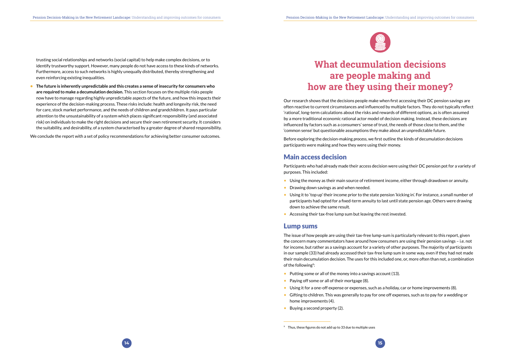





<span id="page-7-0"></span>trusting social relationships and networks (social capital) to help make complex decisions, or to identify trustworthy support. However, many people do not have access to these kinds of networks. Furthermore, access to such networks is highly unequally distributed, thereby strengthening and even reinforcing existing inequalities.

**• The future is inherently unpredictable and this creates a sense of insecurity for consumers who are required to make a decumulation decision.** This section focuses on the multiple risks people now have to manage regarding highly unpredictable aspects of the future, and how this impacts their experience of the decision-making process. These risks include: health and longevity risk, the need for care, stock market performance, and the needs of children and grandchildren. It pays particular attention to the unsustainability of a system which places significant responsibility (and associated risk) on individuals to make the right decisions and secure their own retirement security. It considers the suitability, and desirability, of a system characterised by a greater degree of shared responsibility.

We conclude the report with a set of policy recommendations for achieving better consumer outcomes.

- Using the money as their main source of retirement income, either through drawdown or annuity.
- Drawing down savings as and when needed.
- participants had opted for a fixed-term annuity to last until state pension age. Others were drawing down to achieve the same result.
- Accessing their tax-free lump sum but leaving the rest invested.

The issue of how people are using their tax-free lump-sum is particularly relevant to this report, given the concern many commentators have around how consumers are using their pension savings – i.e. not for income, but rather as a savings account for a variety of other purposes. The majority of participants in our sample (33) had already accessed their tax-free lump sum in some way, even if they had not made their main decumulation decision. The uses for this included one, or, more often than not, a combination of the following<sup>9</sup>:

- Putting some or all of the money into a savings account (13).
- Paying off some or all of their mortgage (8).
- Using it for a one-off expense or expenses, such as a holiday, car or home improvements (8).
- Gifting to children. This was generally to pay for one off expenses, such as to pay for a wedding or home improvements (4).
- Buying a second property (2).

# **What decumulation decisions are people making and how are they using their money?**

Our research shows that the decisions people make when first accessing their DC pension savings are often reactive to current circumstances and influenced by multiple factors. They do not typically reflect 'rational', long-term calculations about the risks and rewards of different options, as is often assumed by a more traditional economic rational actor model of decision making. Instead, these decisions are influenced by factors such as a consumers' sense of trust, the needs of those close to them, and the 'common sense' but questionable assumptions they make about an unpredictable future.

Before exploring the decision-making *process*, we first outline the kinds of decumulation decisions participants were making and how they were using their money.

#### Main access decision

Participants who had already made their access decision were using their DC pension pot for a variety of purposes. This included:

• Using it to 'top up' their income prior to the state pension 'kicking in'. For instance, a small number of



#### Lump sums

<sup>9</sup> Thus, these figures do not add up to 33 due to multiple uses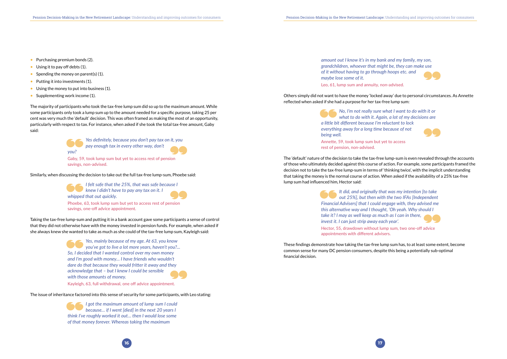- Purchasing premium bonds (2).
- Using it to pay off debts (1).
- Spending the money on parent(s) (1).
- Putting it into investments (1).
- Using the money to put into business (1).
- Supplementing work income (1).

The majority of participants who took the tax-free lump sum did so up to the maximum amount. While some participants only took a lump sum up to the amount needed for a specific purpose, taking 25 per cent was very much the 'default' decision. This was often framed as making the most of an opportunity, particularly with respect to tax. For instance, when asked if she took the total tax-free amount, Gaby said:



*Yes definitely, because you don't pay tax on it, you pay enough tax in every other way, don't* 

*you?* 

Gaby, 59, took lump sum but yet to access rest of pension savings, non-advised.

Similarly, when discussing the decision to take out the full tax-free lump-sum, Phoebe said:

*I felt safe that the 25%, that was safe because I knew I didn't have to pay any tax on it. I whipped that out quickly.*  Phoebe, 63, took lump sum but yet to access rest of pension

savings, one-off advice appointment.

Taking the tax-free lump-sum and putting it in a bank account gave some participants a sense of control that they did not otherwise have with the money invested in pension funds. For example, when asked if she always knew she wanted to take as much as she could of the tax-free lump sum, Kayleigh said:

> *Yes, mainly because of my age. At 63, you know you've got to live a lot more years, haven't you?... So, I decided that I wanted control over my own money and I'm good with money… I have friends who wouldn't dare do that because they would fritter it away and they acknowledge that – but I knew I could be sensible with those amounts of money.*

Kayleigh, 63, full withdrawal, one off advice appointment.

The issue of inheritance factored into this sense of security for some participants, with Leo stating:

*I got the maximum amount of lump sum I could because… if I went [died] in the next 20 years I think I've roughly worked it out… then I would lose some of that money forever. Whereas taking the maximum* 

*amount out I know it's in my bank and my family, my son, grandchildren, whoever that might be, they can make use of it without having to go through hoops etc. and maybe lose some of it.* 

Leo, 61, lump sum and annuity, non-advised.

Others simply did not want to have the money 'locked away' due to personal circumstances. As Annette reflected when asked if she had a purpose for her tax-free lump sum:

> *No, I'm not really sure what I want to do with it or what to do with it. Again, a lot of my decisions are a little bit different because I'm reluctant to lock everything away for a long time because of not being well.*

Annette, 59, took lump sum but yet to access rest of pension, non-advised.

The 'default' nature of the decision to take the tax-free lump-sum is even revealed through the accounts of those who ultimately decided against this course of action. For example, some participants framed the decision not to take the tax-free lump-sum in terms of 'thinking twice', with the implicit understanding that taking the money is the normal course of action. When asked if the availability of a 25% tax-free lump sum had influenced him, Hector said:

> *It did, and originally that was my intention [to take out 25%], but then with the two IFAs [Independent Financial Advisers] that I could engage with, they advised me this alternative way and I thought, 'Oh yeah. Why should I take it? I may as well keep as much as I can in there, invest it. I can just strip away each year'.*  Hector, 55, drawdown without lump sum, two one-off advice appointments with different advisers.

These findings demonstrate how taking the tax-free lump sum has, to at least some extent, become common sense for many DC pension consumers, despite this being a potentially sub-optimal financial decision.



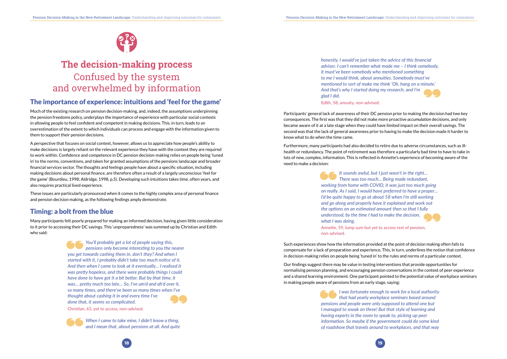



# <span id="page-9-0"></span>**The decision-making process** Confused by the system and overwhelmed by information

### The importance of experience: intuitions and 'feel for the game'

Much of the existing research on pension decision-making, and, indeed, the assumptions underpinning the pension freedoms policy, underplays the importance of experience with particular social contexts in allowing people to feel confident and competent in making decisions. This, in turn, leads to an overestimation of the extent to which individuals can process and engage with the information given to them to support their pension decisions.

A perspective that focuses on social context, however, allows us to appreciate how people's ability to make decisions is largely reliant on the relevant experience they have with the context they are required to work within. Confidence and competence in DC pension decision-making relies on people being 'tuned in' to the norms, conventions, and taken for granted assumptions of the pensions landscape and broader financial services sector. The thoughts and feelings people have about a specific situation, including making decisions about personal finance, are therefore often a result of a largely unconscious 'feel for the game' (Bourdieu, 1998; Aldridge, 1998, p.5). Developing such intuitions takes time, often years, and also requires practical lived experience.

These issues are particularly pronounced when it comes to the highly complex area of personal finance and pension decision making, as the following findings amply demonstrate.

### Timing: a bolt from the blue

Many participants felt poorly prepared for making an informed decision, having given little consideration to it prior to accessing their DC savings. This 'unpreparedness' was summed up by Christian and Edith who said:

> *You'll probably get a lot of people saying this, pensions only become interesting to you the nearer you get towards cashing them in, don't they? And when I started with it, I probably didn't take too much notice of it. And then when I came to look at it eventually… I realised it was pretty hopeless, and there were probably things I could have done to have got it a bit better. But by that time, it was… pretty much too late… So, I've um'd and ah'd over it, so many times, and there've been so many times when I've thought about cashing it in and every time I've done that, it seems so complicated.*

Christian, 63, yet to access, non-advised.

*When I came to take mine, I didn't know a thing, and I mean that, about pensions at all. And quite*  *honestly, I would've just taken the advice of this financial adviser. I can't remember what made me – I think somebody, it must've been somebody who mentioned something to me I would think, about annuities. Somebody must've mentioned to sort of make me think 'Oh, hang on a minute.' And that's why I started doing my research, and I'm glad I did.* 

Edith, 58, annuity, non-advised.

Participants' general lack of awareness of their DC pension prior to making the decision had two key consequences. The first was that they did not make more proactive *accumulation* decisions, and only became aware of it at a late stage when they could have limited impact on their overall savings. The second was that the lack of general awareness prior to having to make the decision made it harder to know what to do when the time came.

Furthermore, many participants had also decided to retire due to adverse circumstances, such as illhealth or redundancy. The point of retirement was therefore a particularly bad time to have to take in lots of new, complex, information. This is reflected in Annette's experience of becoming aware of the need to make a decision:

> *It sounds awful, but I just wasn't in the right... There was too much… Being made redundant, working from home with COVID, it was just too much going on really. As I said, I would have preferred to have a proper… I'd be quite happy to go at about 58 when I'm still working and go along and properly have it explained and work out the options on an estimated amount then so that I fully understood, by the time I had to make the decision, what I was doing.*

Annette, 59, lump sum but yet to access rest of pension, non-advised.

Such experiences show how the information provided at the point of decision making often fails to compensate for a lack of preparation and experience. This, in turn, underlines the notion that confidence in decision-making relies on people being 'tuned in' to the rules and norms of a particular context.

Our findings suggest there may be value in testing interventions that provide opportunities for normalising pension planning, and encouraging pension conversations in the context of peer experience and a shared learning environment. One participant pointed to the potential value of workplace seminars in making people aware of pensions from an early stage, saying:

> *I was fortunate enough to work for a local authority that had yearly workplace seminars based around pensions and people were only supposed to attend one but I managed to sneak on three! But that style of learning and having experts in the room to speak to, picking up peer information. So maybe if the government could do some kind of roadshow that travels around to workplaces, and that way*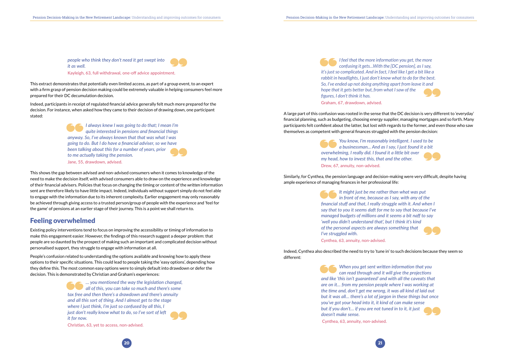

*people who think they don't need it get swept into it as well.*  Kayleigh, 63, full withdrawal, one-off advice appointment.

<span id="page-10-0"></span>This extract demonstrates that potentially even limited access, as part of a group event, to an expert with a firm grasp of pension decision making could be extremely valuable in helping consumers feel more prepared for their DC decumulation decision.

Indeed, participants in receipt of regulated financial advice generally felt much more prepared for the decision. For instance, when asked how they came to their decision of drawing down, one participant stated:

> *I always knew I was going to do that; I mean I'm quite interested in pensions and financial things anyway. So, I've always known that that was what I was going to do. But I do have a financial adviser, so we have been talking about this for a number of years, prior to me actually taking the pension.*  Jane, 55, drawdown, advised.

This shows the gap between advised and non-advised consumers when it comes to knowledge of the need to make the decision itself, with advised consumers able to draw on the experience and knowledge of their financial advisers. Policies that focus on changing the timing or content of the *written* information sent are therefore likely to have little impact. Indeed, individuals without support simply do not feel able to engage with the information due to its inherent complexity. Earlier engagement may only reasonably be achieved through giving access to a trusted person/group of people with the experience and 'feel for the game' of pensions at an earlier stage of their journey. This is a point we shall return to.

#### Feeling overwhelmed

Existing policy interventions tend to focus on improving the accessibility or timing of information to make this engagement easier. However, the findings of this research suggest a deeper problem: that people are so daunted by the prospect of making such an important and complicated decision without personalised support, they struggle to engage with information at all.

People's confusion related to understanding the options available and knowing how to apply these options to their specific situations. This could lead to people taking the 'easy options', depending how they define this. The most common easy options were to simply default into drawdown or defer the decision. This is demonstrated by Christian and Graham's experiences:

> *… you mentioned the way the legislation changed, all of this, you can take so much and there's some tax free and then there's a drawdown and there's annuity and all this sort of thing. And I almost get to the stage where I just think, I'm just so confused by all this, I just don't really know what to do, so I've sort of left it for now.*

Christian, 63, yet to access, non-advised.

*I feel that the more information you get, the more confusing it gets…With the [DC pension], as I say, it's just so complicated. And in fact, I feel like I get a bit like a rabbit in headlights, I just don't know what to do for the best. So, I've ended up not doing anything apart from leave it and hope that it gets better but, from what I saw of the figures, I don't think it has.* 

Graham, 67, drawdown, advised.

A large part of this confusion was rooted in the sense that the DC decision is very different to 'everyday' financial planning, such as budgeting, choosing energy supplier, managing mortgages and so forth. Many participants felt confident about the latter, but lost with regards to the former, and even those who saw themselves as competent with general finances struggled with the pension decision:

> *You know, I'm reasonably intelligent. I used to be a businessman... And as I say, I just found it a bit overwhelming, I really did. I found it a little bit over my head, how to invest this, that and the other.*  Drew, 67, annuity, non-advised.

Similarly, for Cynthea, the pension language and decision-making were very difficult, despite having ample experience of managing finances in her professional life:

> *It might just be me rather than what was put in front of me, because as I say, with any of the financial stuff and that, I really struggle with it. And when I say that to you it seems daft for me to say that because I've managed budgets of millions and it seems a bit naff to say 'well you didn't understand that', but I think it's kind of the personal aspects are always something that I've struggled with.*

Cynthea, 63, annuity, non-advised.

Indeed, Cynthea also described the need to try to 'tune in' to such decisions because they seem so different:

> *When you get sent written information that you can read through and it will give the projections and like 'this isn't guaranteed' and with all the caveats that are on it… from my pension people where I was working at the time and, don't get me wrong, it was all kind of laid out but it was all… there's a lot of jargon in these things but once you've got your head into it, it kind of can make sense but if you don't… if you are not tuned in to it, it just doesn't make sense.*

Cynthea, 63, annuity, non-advised.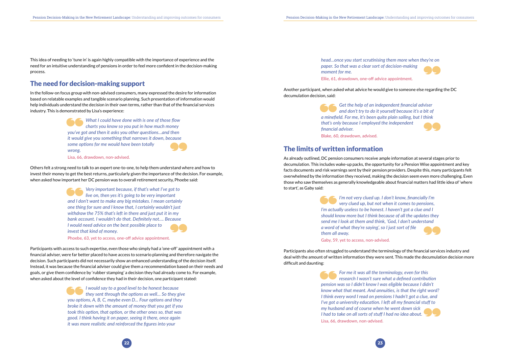

<span id="page-11-0"></span>This idea of needing to 'tune in' is again highly compatible with the importance of experience and the need for an intuitive understanding of pensions in order to feel more confident in the decision-making process.

#### The need for decision-making support

In the follow-on focus group with non-advised consumers, many expressed the desire for information based on relatable examples and tangible scenario planning. Such presentation of information would help individuals understand the decision in their own terms, rather than that of the financial services industry. This is demonstrated by Lisa's experience:

> *What I could have done with is one of those flow charts you know so you put in how much money you've got and then it asks you other questions…and then it would give you something that narrows it down, because some options for me would have been totally wrong.*

Lisa, 66, drawdown, non-advised.

Others felt a strong need to talk to an expert one-to-one, to help them understand where and how to invest their money to get the best returns, particularly given the importance of the decision. For example, when asked how important her DC pension was to overall retirement security, Phoebe said:

> *Very important because, if that's what I've got to live on, then yes it's going to be very important and I don't want to make any big mistakes. I mean certainly one thing for sure and I know that, I certainly wouldn't just withdraw the 75% that's left in there and just put it in my bank account. I wouldn't do that. Definitely not…. Because I would need advice on the best possible place to invest that kind of money.*

Phoebe, 63, yet to access, one-off advice appointment.

Participants with access to such expertise, even those who simply had a 'one-off' appointment with a financial adviser, were far better placed to have access to scenario planning and therefore navigate the decision. Such participants did not necessarily show an enhanced understanding of the decision itself. Instead, it was because the financial adviser could give them a recommendation based on their needs and goals, or give them confidence by 'rubber stamping' a decision they had already come to. For example, when asked about the level of confidence they had in their decision, one participant stated:

> *I would say to a good level to be honest because they sent through the options as well… So they give you options, A, B, C, maybe even D... Four options and they broke it down with the amount of money that you get if you took this option, that option, or the other ones so, that was good. I think having it on paper, seeing it there, once again it was more realistic and reinforced the figures into your*

# *head…once you start scrutinising them more when they're on*



*paper. So that was a clear sort of decision-making moment for me.*

Ellie, 61, drawdown, one-off advice appointment.

Another participant, when asked what advice he would give to someone else regarding the DC decumulation decision, said:

> *Get the help of an independent financial adviser and don't try to do it yourself because it's a bit of a minefield. For me, it's been quite plain sailing, but I think that's only because I employed the independent financial adviser.*

Blake, 60, drawdown, advised.

### The limits of written information

As already outlined, DC pension consumers receive ample information at several stages prior to decumulation. This includes wake-up packs, the opportunity for a Pension Wise appointment and key facts documents and risk warnings sent by their pension providers. Despite this, many participants felt overwhelmed by the information they received, making the decision seem even more challenging. Even those who saw themselves as generally knowledgeable about financial matters had little idea of 'where to start', as Gaby said:

> *I'm not very clued up. I don't know, financially I'm very clued up, but not when it comes to pensions, I'm actually useless to be honest. I haven't got a clue and I should know more but I think because of all the updates they send me I look at them and think, 'God, I don't understand a word of what they're saying', so I just sort of file them all away.*

Gaby, 59, yet to access, non-advised.

Participants also often struggled to understand the terminology of the financial services industry and deal with the amount of written information they were sent. This made the decumulation decision more difficult and daunting:

> *For me it was all the terminology, even for this research I wasn't sure what a defined contribution pension was so I didn't know I was eligible because I didn't know what that meant. And annuities, is that the right word? I think every word I read on pensions I hadn't got a clue, and I've got a university education. I left all my financial stuff to my husband and of course when he went down sick I had to take on all sorts of stuff I had no idea about.*  Lisa, 66, drawdown, non-advised.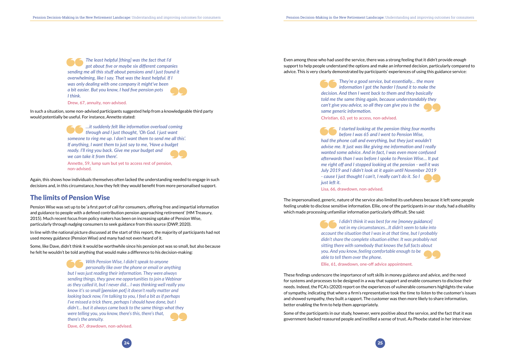<span id="page-12-0"></span>*The least helpful [thing] was the fact that I'd got about five or maybe six different companies sending me all this stuff about pensions and I just found it overwhelming, like I say. That was the least helpful. If I was only dealing with one company it might've been a bit easier. But you know, I had five pension pots I think.*

Drew, 67, annuity, non-advised.

In such a situation, some non-advised participants suggested help from a knowledgeable third party would potentially be useful. For instance, Annette stated:

> *…it suddenly felt like information overload coming through and I just thought, 'Oh God. I just want someone to ring me up. I don't want them to send me all this'. If anything, I want them to just say to me, 'Have a budget ready. I'll ring you back. Give me your budget and we can take it from there'.*

Annette, 59, lump sum but yet to access rest of pension, non-advised.

Again, this shows how individuals themselves often lacked the understanding needed to engage in such decisions and, in this circumstance, how they felt they would benefit from more personalised support.

#### The limits of Pension Wise

Pension Wise was set up to be 'a first port of call for consumers, offering free and impartial information and guidance to people with a defined contribution pension approaching retirement' (HM Treasury, 2015). Much recent focus from policy makers has been on increasing uptake of Pension Wise, particularly through *nudging* consumers to seek guidance from this source (DWP, 2020).

In line with the national picture discussed at the start of this report, the majority of participants had not used money guidance (Pension Wise) and many had not even heard of it.

Some, like Dave, didn't think it would be worthwhile since his pension pot was so small, but also because he felt he wouldn't be told anything that would make a difference to his decision-making:

> *With Pension Wise, I didn't speak to anyone personally like over the phone or email or anything but I was just reading their information. They were always sending things, they gave me opportunities to join a Webinar as they called it, but I never did… I was thinking well really you know it's so small [pension pot] it doesn't really matter and looking back now, I'm talking to you, I feel a bit as if perhaps I've missed a trick there, perhaps I should have done, but I didn't… but it always came back to the same things what they were telling you, you know, there's this, there's that, there's the annuity.*

Dave, 67, drawdown, non-advised.

Even among those who had used the service, there was a strong feeling that it didn't provide *enough*  support to help people understand the options and make an informed decision, particularly compared to advice. This is very clearly demonstrated by participants' experiences of using this guidance service:

> *They're a good service, but essentially… the more information I got the harder I found it to make the decision. And then I went back to them and they basically told me the same thing again, because understandably they can't give you advice, so all they can give you is the same generic information.*

Christian, 63, yet to access, non-advised.

*I started looking at the pension thing four months before I was 65 and I went to Pension Wise, had the phone call and everything, but they just wouldn't advise me. It just was like giving me information and I really wanted some advice. And in fact, I was even more confused afterwards than I was before I spoke to Pension Wise… It put me right off and I stopped looking at the pension - well it was July 2019 and I didn't look at it again until November 2019 - cause I just thought I can't, I really can't do it. So I just left it.* 

Lisa, 66, drawdown, non-advised.

The impersonalised, generic, nature of the service also limited its usefulness because it left some people feeling unable to disclose sensitive information. Ellie, one of the participants in our study, had a disability which made processing unfamiliar information particularly difficult. She said:

> *I didn't think it was best for me [money guidance] not in my circumstances…It didn't seem to take into account the situation that I was in at that time, but I probably didn't share the complete situation either. It was probably not sitting there with somebody that knows the full facts about you. And you know, feeling comfortable enough to be able to tell them over the phone.* Ellie, 61, drawdown, one-off advice appointment.

These findings underscore the importance of soft skills in money guidance and advice, and the need for systems and processes to be designed in a way that support and enable consumers to disclose their needs. Indeed, the FCA's (2020) report on the experiences of vulnerable consumers highlights the value of sympathy, indicating that where a firm's representative took the time to listen to the customer's issues and showed sympathy, they built a rapport. The customer was then more likely to share information, better enabling the firm to help them appropriately.

Some of the participants in our study, however, were positive about the service, and the fact that it was government-backed reassured people and instilled a sense of trust. As Phoebe stated in her interview: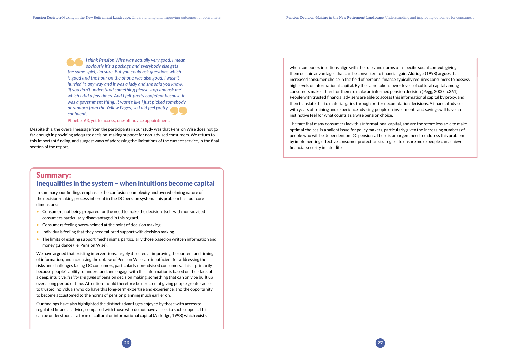

<span id="page-13-0"></span>*I think Pension Wise was actually very good. I mean obviously it's a package and everybody else gets the same spiel, I'm sure. But you could ask questions which is good and the hour on the phone was also good. I wasn't hurried in any way and it was a lady and she said you know, 'If you don't understand something please stop and ask me', which I did a few times. And I felt pretty confident because it was a government thing. It wasn't like I just picked somebody at random from the Yellow Pages, so I did feel pretty confident.* 

#### Phoebe, 63, yet to access, one-off advice appointment.

- Consumers not being prepared for the need to make the decision itself, with non-advised consumers particularly disadvantaged in this regard.
- Consumers feeling overwhelmed at the point of decision making.
- Individuals feeling that they need tailored support with decision making
- The limits of existing support mechanisms, particularly those based on written information and money guidance (i.e. Pension Wise).

Despite this, the overall message from the participants in our study was that Pension Wise does not go far enough in providing adequate decision-making support for non-advised consumers. We return to this important finding, and suggest ways of addressing the limitations of the current service, in the final section of the report.

### Summary: Inequalities in the system – when intuitions become capital

In summary, our findings emphasise the confusion, complexity and overwhelming nature of the decision-making process inherent in the DC pension system. This problem has four core dimensions:

We have argued that existing interventions, largely directed at improving the content and timing of information, and increasing the uptake of Pension Wise, are insufficient for addressing the risks and challenges facing DC consumers, particularly non-advised consumers. This is primarily because people's ability to understand and engage with this information is based on their lack of a deep, intuitive, *feel for the game* of pension decision making, something that can only be built up over a long period of time. Attention should therefore be directed at giving people greater access to trusted individuals who do have this long-term expertise and experience, and the opportunity to become accustomed to the norms of pension planning much earlier on.

Our findings have also highlighted the distinct advantages enjoyed by those with access to regulated financial advice, compared with those who do not have access to such support. This can be understood as a form of cultural or informational capital (Aldridge, 1998) which exists

when someone's intuitions align with the rules and norms of a specific social context, giving them certain advantages that can be converted to financial gain. Aldridge (1998) argues that increased consumer choice in the field of personal finance typically requires consumers to possess high levels of informational capital. By the same token, lower levels of cultural capital among consumers make it hard for them to make an informed pension decision (Pegg, 2000, p.361). People with trusted financial advisers are able to access this informational capital by proxy, and then translate this to material gains through better decumulation decisions. A financial adviser with years of training and experience advising people on investments and savings will have an instinctive feel for what counts as a wise pension choice.

The fact that many consumers lack this informational capital, and are therefore less able to make optimal choices, is a salient issue for policy makers, particularly given the increasing numbers of people who will be dependent on DC pensions. There is an urgent need to address this problem by implementing effective consumer protection strategies, to ensure more people can achieve financial security in later life.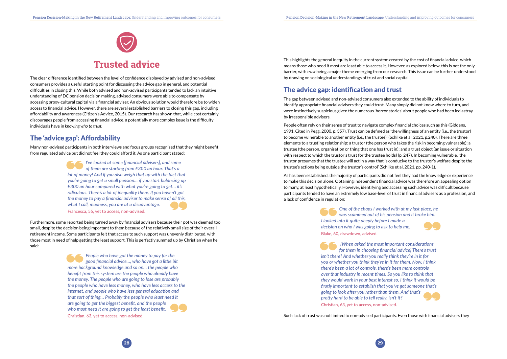

<span id="page-14-0"></span>The clear difference identified between the level of confidence displayed by advised and non-advised consumers provides a useful starting point for discussing the advice gap in general, and potential difficulties in closing this. While both advised and non-advised participants tended to lack an intuitive understanding of DC pension decision making, advised consumers were able to compensate by accessing proxy-cultural capital via a financial adviser. An obvious solution would therefore be to widen access to financial advice. However, there are several established barriers to closing this gap, including affordability and awareness (Citizen's Advice, 2015). Our research has shown that, while cost certainly discourages people from accessing financial advice, a potentially more complex issue is the difficulty individuals have in *knowing who to trust.* 

### The 'advice gap': Affordability

Many non-advised participants in both interviews and focus groups recognised that they might benefit from regulated advice but did not feel they could afford it. As one participant stated:

> *I've looked at some [financial advisers], and some of them are starting from £300 an hour. That's a lot of money! And if you also weigh that up with the fact that you're going to get a small pension… if you start balancing up £300 an hour compared with what you're going to get… it's ridiculous. There's a lot of inequality there. If you haven't got the money to pay a financial adviser to make sense of all this, what I call, madness, you are at a disadvantage.*  Francesca, 55, yet to access, non-advised.

Furthermore, some reported being turned away by financial advisers because their pot was deemed too small, despite the decision being important to them because of the relatively small size of their overall retirement income. Some participants felt that access to such support was unevenly distributed, with those most in need of help getting the least support. This is perfectly summed up by Christian when he said:

> *People who have got the money to pay for the good financial advice…, who have got a little bit more background knowledge and so on… the people who benefit from this system are the people who already have the money. The people who are going to lose are probably the people who have less money, who have less access to the internet, and people who have less general education and that sort of thing… Probably the people who least need it are going to get the biggest benefit, and the people who most need it are going to get the least benefit.*  Christian, 63, yet to access, non-advised.

This highlights the general inequity in the current system created by the cost of financial advice, which means those who need it most are least able to access it. However, as explored below, this is not the only barrier, with *trust* being a major theme emerging from our research. This issue can be further understood by drawing on sociological understandings of trust and social capital.

### The advice gap: identification and trust

The gap between advised and non-advised consumers also extended to the ability of individuals to identify appropriate financial advisers they could trust. Many simply did not know where to turn, and were instinctively suspicious given the numerous 'horror stories' about people who had been led astray by irresponsible advisers.

People often rely on their sense of trust to navigate complex financial choices such as this (Giddens, 1991. Cited in Pegg, 2000, p. 357). Trust can be defined as 'the willingness of an entity (i.e., the trustor) to become vulnerable to another entity (i.e., the trustee)' (Schilke et al, 2021, p.240). There are three elements to a trusting relationship: a trustor (the person who takes the risk in becoming vulnerable); a trustee (the person, organisation or thing that one has trust in); and a trust object (an issue or situation with respect to which the trustor's trust for the trustee holds) (p. 247). In becoming vulnerable, 'the trustor presumes that the trustee will act in a way that is conducive to the trustor's welfare despite the trustee's actions being outside the trustor's control' (Schilke et al, 2021, pp. 240-1).

As has been established, the majority of participants did not feel they had the knowledge or experience to make this decision alone. Obtaining independent financial advice was therefore an appealing option to many, at least hypothetically. However, identifying and accessing such advice was difficult because participants tended to have an extremely low base-level of trust in financial advisers as a profession, and a lack of confidence in regulation:

> *One of the chaps I worked with at my last place, he was scammed out of his pension and it broke him. I looked into it quite deeply before I made a decision on who I was going to ask to help me.*  Blake, 60, drawdown, advised.

> *[When asked the most important considerations for them in choosing financial advice] There's trust isn't there? And whether you really think they're in it for you or whether you think they're in it for them. Now, I think there's been a lot of controls, there's been more controls over that industry in recent times. So you like to think that they would work in your best interest so, I think it would be firstly important to establish that you've got someone that's going to look after you rather than them. And that's pretty hard to be able to tell really, isn't it?*  Christian, 63, yet to access, non-advised.

Such lack of trust was not limited to non-advised participants. Even those with financial advisers they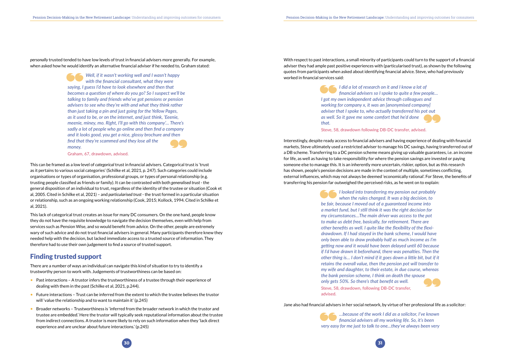<span id="page-15-0"></span>*personally* trusted tended to have low levels of trust in financial advisers more generally*.* For example, when asked how he would identify an alternative financial adviser if he needed to, Graham stated:

> *Well, if it wasn't working well and I wasn't happy with the financial consultant, what they were saying, I guess I'd have to look elsewhere and then that becomes a question of where do you go? So I suspect we'll be talking to family and friends who've got pensions or pension advisers to see who they're with and what they think rather than just taking a pin and just going for the Yellow Pages, as it used to be, or on the internet, and just think, 'Eeenie, meenie, miney, mo. Right, I'll go with this company'… There's sadly a lot of people who go online and then find a company and it looks good, you get a nice, glossy brochure and then find that they're scammed and they lose all the money.*

Graham, 67, drawdown, advised.

This can be framed as a low level of *categorical* trust in financial advisers. Categorical trust is 'trust as it pertains to various social categories' (Schilke et al, 2021, p. 247). Such categories could include organisations or types of organisation, professional groups, or types of personal relationship (e.g. trusting people classified as friends or family). It can be contrasted with both *generalised trust* - the general disposition of an individual to trust, regardless of the identity of the trustee or situation (Cook et al, 2005. Cited in Schilke et al, 2021) – and *particularised trust* - the trust formed in a particular situation or relationship, such as an ongoing working relationship (Cook, 2015; Kollock, 1994. Cited in Schilke et al, 2021).

This lack of categorical trust creates an issue for many DC consumers. On the one hand, people know they do not have the requisite knowledge to navigate the decision themselves, even with help from services such as Pension Wise, and so would benefit from advice. On the other, people are extremely wary of such advice and do not trust financial advisers in general. Many participants therefore knew they needed help with the decision, but lacked immediate access to a trusted source of information. They therefore had to use their own judgement to find a source of trusted support.

#### Finding trusted support

There are a number of ways an individual can navigate this kind of situation to try to identify a trustworthy person to work with. Judgements of trustworthiness can be based on:

- Past interactions A trustor infers the trustworthiness of a trustee through their experience of dealing with them in the past (Schilke et al, 2021, p.244).
- Future interactions Trust can be inferred from the extent to which the trustee believes the trustor will 'value the relationship and to want to maintain it' (p.245)
- Broader networks Trustworthiness is 'inferred from the broader network in which the trustor and trustee are embedded.' Here the trustor will typically seek reputational information about the trustee from indirect connections. A trustor is more likely to rely on such information when they 'lack direct experience and are unclear about future interactions.' (p.245)

With respect to past interactions, a small minority of participants could turn to the support of a financial adviser they had ample past positive experiences with (particularised trust), as shown by the following quotes from participants when asked about identifying financial advice. Steve, who had previously worked in financial services said:

> *I did a lot of research on it and I know a lot of financial advisers so I spoke to quite a few people… I got my own independent advice through colleagues and working for company x, it was an [anonymised company] adviser that I spoke to, who actually transferred his pot out as well. So it gave me some comfort that he'd done that.*

Steve, 58, drawdown following DB-DC transfer, advised.

Interestingly, despite ready access to financial advisers and having experience of dealing with financial markets, Steve ultimately used a restricted adviser to manage his DC savings, having transferred out of a DB scheme. Transferring to a DC pension scheme means giving up valuable guarantees, i.e. an income for life, as well as having to take responsibility for where the pension savings are invested or paying someone else to manage this. It is an inherently more uncertain, riskier, option, but as this research has shown, people's pension decisions are made in the context of multiple, sometimes conflicting, external influences, which may not always be deemed 'economically rational'. For Steve, the benefits of transferring his pension far outweighed the perceived risks, as he went on to explain:

> *I looked into transferring my pension out probably when the rules changed. It was a big decision, to be fair, because I moved out of a guaranteed income into a market fund, but I still think it was the right decision for my circumstances…The main driver was access to the pot to make us debt free, basically, for retirement. There are other benefits as well. I quite like the flexibility of the flexidrawdown. If I had stayed in the bank scheme, I would have only been able to draw probably half as much income as I'm getting now and it would have been delayed until 60 because if I'd have drawn it beforehand, there was penalties. Then the other thing is… I don't mind if it goes down a little bit, but if it retains the overall value, then the pension pot will transfer to my wife and daughter, to their estate, in due course, whereas the bank pension scheme, I think on death the spouse only gets 50%. So there's that benefit as well.* Steve, 58, drawdown, following DB-DC transfer, advised.

Jane also had financial advisers in her social network, by virtue of her professional life as a solicitor:

*…because of the work I did as a solicitor, I've known financial advisers all my working life. So, it's been very easy for me just to talk to one…they've always been very*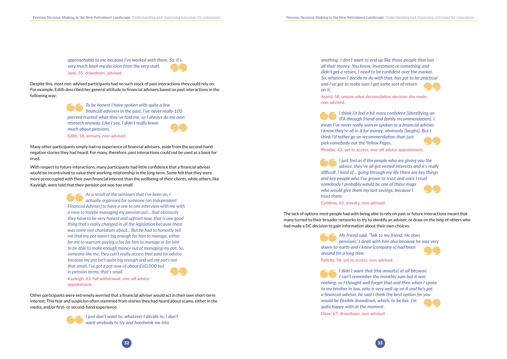*approachable to me because I've worked with them. So, it's very much been my decision from the very start.*  Jane, 55, drawdown, advised.

Despite this, most non-advised participants had no such stock of past interactions they could rely on. For example, Edith described her general attitude to financial advisers based on past interactions in the following way:

> *To be honest I have spoken with quite a few financial advisers in the past, I've never really 100 percent trusted what they've told me, so I always do my own research anyway. Like I say, I didn't really know much about pensions.*  Edith, 58, annuity, non-advised.

Many other participants simply had no experience of financial advisers, aside from the second-hand negative stories they had heard. For many, therefore, past interactions could not be used as a basis for trust.

With respect to future interactions, many participants had little confidence that a financial adviser would be incentivised to value their working relationship in the long term. Some felt that they were more preoccupied with their own financial interest than the wellbeing of their clients, while others, like Kayleigh, were told that their pension pot was too small:

> *As a result of the seminars that I've been on, I actually organised for someone [an Independent Financial Adviser] to have a one to one interview with me with a view to maybe managing my pension pot... And obviously they have to be very honest and upfront now, that is one good thing that's really changed in all the legislation because there was some real charlatans about... But he had to honestly tell me that my pot wasn't big enough for him to manage, either for me to warrant paying a fee for him to manage or for him to be able to make enough money out of managing my pot. So, someone like me, they can't really access that paid for advice because my pot isn't quite big enough and yet my pot's not that small, I've got a pot now of about £60,000 but in pension terms, that's small.*

Kayleigh, 63, full withdrawal, one-off advice appointment.

Other participants were extremely worried that a financial adviser would act in their own short-term interest. This fear and suspicion often stemmed from stories they had heard about scams, either in the media, and/or first- or second-hand experience:



*I just don't want to, whatever I decide to, I don't want anybody to try and hoodwink me into* 

*anything. I don't want to end up like those people that lost all their money. You know, investment or something and didn't get a return, I need to be confident over the market. So, whatever I decide to do with that, has got to be practical and I've got to make sure I get some sort of return on it.*

Astrid, 58, unsure what decumulation decision she made, non-advised.

*I think I'd feel a bit more confident [identifying an IFA through friend and family recommendation]. I mean I've never really seen or spoken to a financial adviser. I know they're all in it for money, obviously [laughs]. But I think I'd rather go on recommendation than just pick somebody out the Yellow Pages.* Phoebe, 63, yet to access, one-off advice appointment.

*I just feel as if the people who are giving you the advice, they've all got vested interests and it's really difficult, I kind of… going through my life there are key things and key people who I've grown to trust and once I trust somebody I probably would be one of these mugs who would give them my last savings, because I trust them.*

Cynthea, 63, annuity, non-advised.

The lack of options most people had with being able to rely on past or future interactions meant that many turned to their broader networks to try to identify an adviser, or draw on the help of others who had made a DC decision to gain information about their own choices:

> *My friend said, 'Talk to my friend. He does pensions.' I dealt with him also because he was very down-to-earth and I knew [company x] had been around for a long time.*  Felicity, 56, yet to access, non-advised.

*I didn't want that [the annuity] at all because I can't remember the monthly sum but it was nothing, so I thought well forget that and then when I spoke to my brother in law, who is very well up on it and he's got a financial adviser, he said I think the best option for you would be flexible drawdown, which, to be fair, I'm quite happy with at the moment.* Dave, 67, drawdown, non-advised.

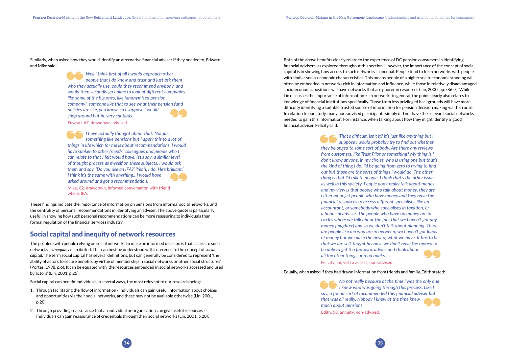

<span id="page-17-0"></span>Similarly, when asked how they would identify an alternative financial adviser if they needed to, Edward and Mike said:

> *Well I think first of all I would approach other people that I do know and trust and just ask them who they actually use, could they recommend anybody, and would then secondly go online to look at different companies like some of the big ones, like [anonymised pension company], someone like that to see what their pension fund policies are like, you know, so I suppose I would shop around but be very cautious.* Edward, 67, drawdown, advised.

> *I have actually thought about that. Not just something like pensions but I apply this to a lot of things in life which for me is about recommendations. I would have spoken to other friends, colleagues and people who I can relate to that I felt would have, let's say, a similar level of thought process as myself on these subjects. I would ask them and say, 'Do you use an IFA?' 'Yeah, I do. He's brilliant.' I think it's the same with anything…I would have asked around and got a recommendation.*

Mike, 62, drawdown, informal conversation with friend who is IFA.

These findings indicate the importance of information on pensions from informal social networks, and the centrality of personal recommendations in identifying an adviser. The above quote is particularly useful in showing how such personal recommendations can be more reassuring to individuals than formal regulation of the financial services industry.

#### Social capital and inequity of network resources

The problem with people relying on social networks to make an informed decision is that access to such networks is *unequally* distributed. This can best be understood with reference to the concept of *social capital*. The term social capital has several definitions, but can generally be considered to represent 'the ability of actors to secure benefits by virtue of membership in social networks or other social structures' (Portes, 1998, p.6). It can be equated with 'the resources embedded in social networks accessed and used by actors' (Lin, 2001, p.25).

Social capital can benefit individuals in several ways, the most relevant to our research being:

- 1. Through facilitating the flow of information Individuals can gain useful information about choices and opportunities via their social networks, and these may not be available otherwise (Lin, 2001, p.20).
- 2. Through providing reassurance that an individual or organisation can give useful resources Individuals can gain reassurance of credentials through their social networks (Lin, 2001, p.20).

Both of the above benefits clearly relate to the experience of DC pension consumers in identifying financial advisers, as explored throughout this section. However, the importance of the concept of social capital is in showing how access to such networks is unequal. People tend to form networks with people with similar socio-economic characteristics. This means people of a higher socio-economic standing will often be embedded in networks rich in information and influence, while those in relatively disadvantaged socio-economic positions will have networks that are poorer in resources (Lin, 2000, pp.786-7). While Lin discusses the importance of information-rich networks in general, the point clearly also relates to knowledge of financial institutions specifically. Those from less privileged backgrounds will have more difficulty identifying a suitable trusted source of information for pension decision making via this route. In relation to our study, many non-advised participants simply did not have the relevant social networks needed to gain this information*.* For instance, when talking about how they might identify a 'good' financial adviser, Felicity said:

> *That's difficult, isn't it? It's just like anything but I suppose I would probably try to find out whether they belonged to some sort of body. Are there any reviews from customers, like Trust Pilot or something? My thing is I don't know anyone, in my circles, who is using one but that's the kind of thing I do. I'd be going from zero to trying to find out but those are the sorts of things I would do. The other thing is that I'd talk to people. I think that's the other issue as well in this society. People don't really talk about money and my view is that people who talk about money, they are either amongst people who have money and they have the financial resources to access different specialists, like an accountant, or somebody who specialises in taxation, or a financial adviser. The people who have no money are in circles where we talk about the fact that we haven't got any money [laughter] and so we don't talk about planning. There are people like me who are in between; we haven't got loads of money but we make the best of what we have. It has to be that we are self-taught because we don't have the money to be able to get the fantastic advice and think about all the other things or read books.* Felicity, 56, yet to access, non-advised.

Equally, when asked if they had drawn information from friends and family, Edith stated:

*No not really because at the time I was the only one I knew who was going through this process. Like I say, a friend sort of recommended this financial adviser but that was all really. Nobody I knew at the time knew much about pensions.* Edith, 58, annuity, non-advised.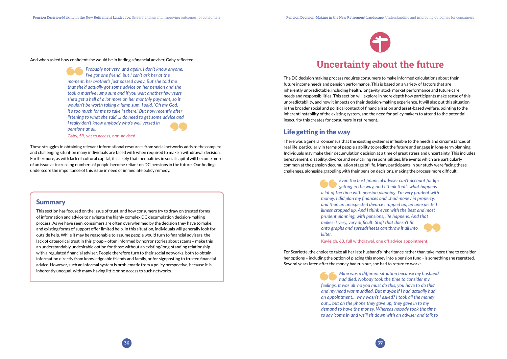

<span id="page-18-0"></span>And when asked how confident she would be in finding a financial adviser, Gaby reflected:

*Probably not very, and again, I don't know anyone. I've got one friend, but I can't ask her at the moment, her brother's just passed away. But she told me that she'd actually got some advice on her pension and she took a massive lump sum and if you wait another few years she'd get a hell of a lot more on her monthly payment, so it wouldn't be worth taking a lump sum. I said, 'Oh my God, it's too much for me to take in there.' But now recently after listening to what she said…I do need to get some advice and I really don't know anybody who's well versed in pensions at all.* 

Gaby, 59, yet to access, non-advised.

These struggles in obtaining relevant informational resources from social networks adds to the complex and challenging situation many individuals are faced with when required to make a withdrawal decision. Furthermore, as with lack of cultural capital, it is likely that inequalities in social capital will become more of an issue as increasing numbers of people become reliant on DC pensions in the future. Our findings underscore the importance of this issue in need of immediate policy remedy.

#### Summary

This section has focused on the issue of trust, and how consumers try to draw on trusted forms of information and advice to navigate the highly complex DC decumulation decision-making process. As we have seen, consumers are often overwhelmed by the decision they have to make, and existing forms of support offer limited help. In this situation, individuals will generally look for outside help. While it may be reasonable to assume people would turn to financial advisers, the lack of categorical trust in this group – often informed by horror stories about scams – make this an understandably undesirable option for those without an existing/long-standing relationship with a regulated financial adviser. People therefore turn to their social networks, both to obtain information directly from knowledgeable friends and family, or for signposting to trusted financial advice. However, such an informal system is problematic from a policy perspective, because it is inherently unequal, with many having little or no access to such networks.

# **Uncertainty about the future**

The DC decision making process requires consumers to make informed calculations about their future income needs and pension performance. This is based on a variety of factors that are inherently unpredictable, including health, longevity, stock market performance and future care needs and responsibilities. This section will explore in more depth how participants make sense of this unpredictability, and how it impacts on their decision-making experience. It will also put this situation in the broader social and political context of financialisation and asset-based welfare, pointing to the inherent instability of the existing system, and the need for policy makers to attend to the potential insecurity this creates for consumers in retirement.

### Life getting in the way

There was a general consensus that the existing system is inflexible to the needs and circumstances of real life, particularly in terms of people's ability to predict the future and engage in long-term planning. Individuals may make their decumulation decision at a time of great stress and uncertainty. This includes bereavement, disability, divorce and new caring responsibilities; life events which are particularly common at the pension decumulation stage of life. Many participants in our study were facing these challenges, alongside grappling with their pension decisions, making the process more difficult:

> *Even the best financial adviser can't account for life getting in the way, and I think that's what happens a lot of the time with pension planning. I'm very prudent with money, I did plan my finances and…had money in property, and then an unexpected divorce cropped up, an unexpected illness cropped up. And I think even with the best and most prudent planning, with pensions, life happens. And that makes it very, very difficult. Stuff that doesn't fit onto graphs and spreadsheets can throw it all into kilter.*

Kayleigh, 63, full withdrawal, one off advice appointment.

For Scarlette, the choice to take all her late husband's inheritance rather than take more time to consider her options – including the option of placing this money into a pension fund - is something she regretted. Several years later, after the money had run out, she had to return to work:

> *Mine was a different situation because my husband had died. Nobody took the time to consider my feelings. It was all 'no you must do this, you have to do this' and my head was muddled. But maybe if I had actually had an appointment… why wasn't I asked? I took all the money out… but on the phone they gave up, they gave in to my demand to have the money. Whereas nobody took the time to say 'come in and we'll sit down with an adviser and talk to*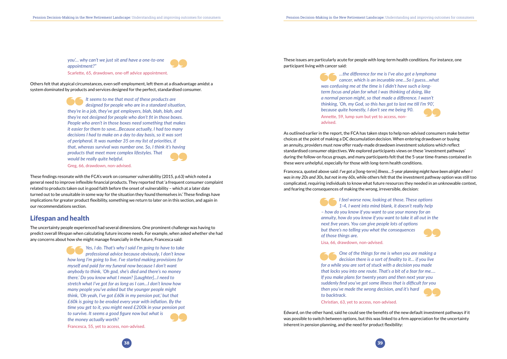



*you'… why can't we just sit and have a one-to-one appointment?"* Scarlette, 65, drawdown, one-off advice appointment.

<span id="page-19-0"></span>Others felt that atypical circumstances, even self-employment, left them at a disadvantage amidst a system dominated by products and services designed for the perfect, standardised consumer.

> *It seems to me that most of these products are designed for people who are in a standard situation, they're in a job, they've got employers, blah, blah, blah, and they're not designed for people who don't fit in those boxes. People who aren't in those boxes need something that makes it easier for them to save…Because actually, I had too many decisions I had to make on a day to day basis, so it was sort of peripheral. It was number 35 on my list of priorities, if that, whereas survival was number one. So, I think it's having products that meet more complex lifestyles. That would be really quite helpful.*

Greg, 66, drawdown, non-advised.

These findings resonate with the FCA's work on consumer vulnerability (2015, p.63) which noted a general need to improve inflexible financial products. They reported that 'a frequent consumer complaint related to products taken out in good faith before the onset of vulnerability – which at a later date turned out to be unsuitable in some way for the situation they found themselves in.' These findings have implications for greater product flexibility, something we return to later on in this section, and again in our recommendations section.

#### Lifespan and health

The uncertainty people experienced had several dimensions. One prominent challenge was having to predict overall lifespan when calculating future income needs. For example, when asked whether she had any concerns about how she might manage financially in the future, Francesca said:

> *Yes, I do. That's why I said I'm going to have to take professional advice because obviously, I don't know how long I'm going to live. I've started making provisions for myself and paid for my funeral now because I don't want anybody to think, 'Oh god, she's died and there's no money there.' Do you know what I mean? [Laughter]...I need to stretch what I've got for as long as I can…I don't know how many people you've asked but the younger people might think, 'Oh yeah, I've got £60k in my pension pot,' but that £60k is going to be eroded every year with inflation. By the time you get to it, you might need £200k in your pension pot to survive. It seems a good figure now but what is the money actually worth?*

Francesca, 55, yet to access, non-advised.

These issues are particularly acute for people with long-term health conditions. For instance, one participant living with cancer said:

> *…the difference for me is I've also got a lymphoma cancer, which is an incurable one…So I guess…what was confusing me at the time is I didn't have such a longterm focus and plan for what I was thinking of doing, like a normal person might, so that made a difference. I wasn't thinking, 'Oh, my God, so this has got to last me till I'm 90', because quite honestly, I don't see me being 90.* Annette, 59, lump sum but yet to access, nonadvised.

As outlined earlier in the report, the FCA has taken steps to help non-advised consumers make better choices at the point of making a DC decumulation decision. When entering drawdown or buying an annuity, providers must now offer ready-made drawdown investment solutions which reflect standardised consumer objectives. We explored participants views on these 'investment pathways' during the follow-on focus groups, and many participants felt that the 5-year time-frames contained in these were unhelpful, especially for those with long-term health conditions.

Francesca, quoted above said: *I've got a* [long-term] *illness…5-year planning might have been alright when I was in my 20s and 30s, but not in my 60s*, while others felt that the investment pathway option was still too complicated, requiring individuals to know what future resources they needed in an unknowable context, and fearing the consequences of making the wrong, irreversible, decision:

> *I feel worse now, looking at those. These options 1-4, I went into mind blank, it doesn't really help – how do you know if you want to use your money for an annuity, how do you know if you want to take it all out in the next five years. You can give people lots of options but there's no telling you what the consequences of those things are.*

Lisa, 66, drawdown, non-advised.

*One of the things for me is when you are making a decision there is a sort of finality to it… if you live for a while you are sort of stuck with a decision you made that locks you into one route. That's a bit of a fear for me…. If you make plans for twenty years and then next year you suddenly find you've got some illness that is difficult for you then you've made the wrong decision, and it's hard to backtrack.* 

Christian, 63, yet to access, non-advised.

Edward, on the other hand, said he could see the benefits of the new default investment pathways if it was possible to switch between options, but this was linked to a firm appreciation for the uncertainty inherent in pension planning, and the need for product flexibility: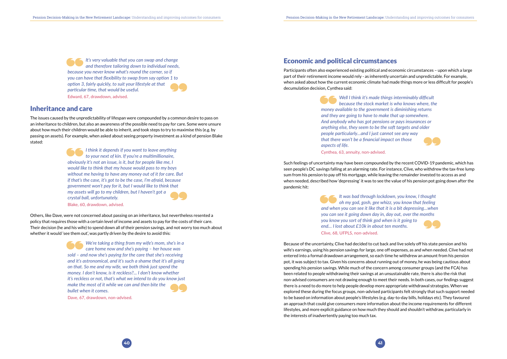

<span id="page-20-0"></span>*It's very valuable that you can swap and change and therefore tailoring down to individual needs, because you never know what's round the corner, so if you can have that flexibility to swap from say option 1 to option 3, fairly quickly, to suit your lifestyle at that particular time, that would be useful.*  Edward, 67, drawdown, advised.

#### Inheritance and care

Others, like Dave, were not concerned about passing on an inheritance, but nevertheless resented a policy that requires those with a certain level of income and assets to pay for the costs of their care. Their decision (he and his wife) to spend down all of their pension savings, and not worry too much about whether it would 'see them out', was partly driven by the desire to avoid this:

The issues caused by the unpredictability of lifespan were compounded by a common desire to pass on an inheritance to children, but also an awareness of the possible need to pay for care. Some were unsure about how much their children would be able to inherit, and took steps to try to maximise this (e.g. by passing on assets). For example, when asked about seeing property investment as a kind of pension Blake stated:

> *I think it depends if you want to leave anything to your next of kin. If you're a multimillionaire, obviously it's not an issue, is it, but for people like me, I would like to think that my house would pass to my boys without me having to have any money out of it for care. But if that's the case, it's got to be the case, I'm afraid, because government won't pay for it, but I would like to think that my assets will go to my children, but I haven't got a crystal ball, unfortunately.*  Blake, 60, drawdown, advised.

*We're taking a thing from my wife's mom, she's in a care home now and she's paying – her house was sold – and now she's paying for the care that she's receiving and it's astronomical, and it's such a shame that it's all going on that. So me and my wife, we both think just spend the money. I don't know, is it reckless?... I don't know whether it's reckless or not, that's what we intend to do you know just make the most of it while we can and then bite the bullet when it comes.* 

Dave, 67, drawdown, non-advised.

### Economic and political circumstances

Participants often also experienced existing political and economic circumstances – upon which a large part of their retirement income would rely - as inherently uncertain and unpredictable. For example, when asked about how the current economic climate had made things more or less difficult for people's decumulation decision, Cynthea said:

> *Well I think it's made things interminably difficult because the stock market is who knows where, the money available to the government is diminishing returns and they are going to have to make that up somewhere. And anybody who has got pensions or pays insurances or anything else, they seem to be the soft targets and older people particularly…and I just cannot see any way that there won't be a financial impact on those aspects of life.*

Cynthea, 63, annuity, non-advised.

Such feelings of uncertainty may have been compounded by the recent COVID-19 pandemic, which has seen people's DC savings falling at an alarming rate. For instance, Clive, who withdrew the tax-free lump sum from his pension to pay off his mortgage, while leaving the remainder invested to access as and when needed, described how 'depressing' it was to see the value of his pension pot going down after the pandemic hit:

> *It was bad through lockdown, you know, I thought oh my god, gosh, gee whizz, you know that feeling and when you can see it like that it is a bit depressing…when you can see it going down day in, day out, over the months you know you sort of think god when is it going to end… I lost about £10k in about ten months.*  Clive, 68, UFPLS, non-advised.

Because of the uncertainty, Clive had decided to cut back and live solely off his state pension and his wife's earnings, using his pension savings for large, one off expenses, as and when needed. Clive had not entered into a formal drawdown arrangement, so each time he withdrew an amount from his pension pot, it was subject to tax. Given his concerns about running out of money, he was being cautious about spending his pension savings. While much of the concern among consumer groups (and the FCA) has been related to people withdrawing their savings at an unsustainable rate, there is also the risk that non-advised consumers are not drawing enough to meet their needs. In both cases, our findings suggest there is a need to do more to help people develop more appropriate withdrawal strategies. When we explored these during the focus groups, non-advised participants felt strongly that such support needed to be based on information about people's lifestyles (e.g. day-to-day bills, holidays etc). They favoured an approach that could give consumers more information about the income requirements for different lifestyles, and more explicit guidance on how much they should and shouldn't withdraw, particularly in the interests of inadvertently paying too much tax.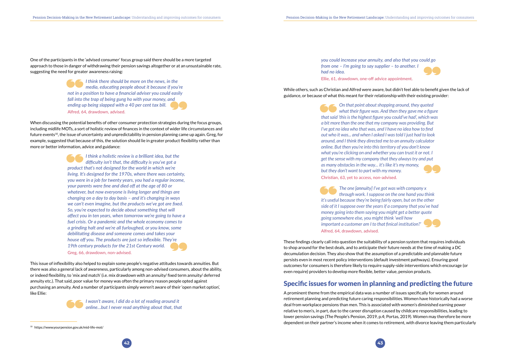<span id="page-21-0"></span>One of the participants in the 'advised consumer' focus group said there should be a more targeted approach to those in danger of withdrawing their pension savings altogether or at an unsustainable rate, suggesting the need for greater awareness raising:

> *I think there should be more on the news, in the media, educating people about it because if you're not in a position to have a financial adviser you could easily fall into the trap of being gung ho with your money, and ending up being slapped with a 40 per cent tax bill.* Alfred, 64, drawdown, advised.

When discussing the potential benefits of other consumer protection strategies during the focus groups, including midlife MOTs, a sort of holistic review of finances in the context of wider life circumstances and future events10, the issue of uncertainty and unpredictability in pension planning came up again. Greg, for example, suggested that because of this, the solution should lie in greater product flexibility rather than more or better information, advice and guidance:

> *I think a holistic review is a brilliant idea, but the difficulty isn't that, the difficulty is you've got a product that's not designed for the world in which we're living. It's designed for the 1970s, where there was certainty, you were in a job for twenty years, you had a regular income, your parents were fine and died off at the age of 80 or whatever, but now everyone is living longer and things are changing on a day to day basis – and it's changing in ways we can't even imagine, but the products we've got are fixed. So, you're expected to decide about something that will affect you in ten years, when tomorrow we're going to have a fuel crisis. Or a pandemic and the whole economy comes to a grinding halt and we're all furloughed, or you know, some debilitating disease and someone comes and takes your house off you. The products are just so inflexible. They're 19th century products for the 21st Century world.* Greg, 66, drawdown, non-advised.

This issue of inflexibility also helped to explain some people's negative attitudes towards annuities. But there was also a general lack of awareness, particularly among non-advised consumers, about the ability, or indeed flexibility, to 'mix and match' (i.e. mix drawdown with an annuity/ fixed term annuity/ deferred annuity etc.). That said, poor value for money was often the primary reason people opted against purchasing an annuity. And a number of participants simply weren't aware of their 'open market option', like Ellie:



*I wasn't aware, I did do a lot of reading around it online…but I never read anything about that, that* 

10 https://www.yourpension.gov.uk/mid-life-mot/

# *you could increase your annuity, and also that you could go*



*from one – I'm going to say supplier – to another. I had no idea.* 

Ellie, 61, drawdown, one-off advice appointment.

While others, such as Christian and Alfred were aware, but didn't feel able to benefit given the lack of guidance, or because of what this meant for their relationship with their existing provider:

> *On that point about shopping around, they quoted what their figure was. And then they gave me a figure that said 'this is the highest figure you could've had', which was a bit more than the one that my company was providing. But I've got no idea who that was, and I have no idea how to find out who it was... and when I asked I was told I just had to look around, and I think they directed me to an annuity calculator online. But then you're into this territory of you don't know what you're clicking on and whether you can trust it or not. I get the sense with my company that they always try and put as many obstacles in the way… it's like it's my money, but they don't want to part with my money.* Christian, 63, yet to access, non-advised.

> *The one [annuity] I've got was with company x through work. I suppose on the one hand you think it's useful because they're being fairly open, but on the other side of it I suppose over the years if a company that you've had money going into them saying you might get a better quote going somewhere else, you might think 'well how important a customer am I to that finical institution?'*  Alfred, 64, drawdown, advised.

These findings clearly call into question the suitability of a pension system that requires individuals to shop around for the best deals, and to anticipate their future needs at the time of making a DC decumulation decision. They also show that the assumption of a predictable and plannable future persists even in most recent policy interventions (default investment pathways). Ensuring good outcomes for consumers is therefore likely to require supply-side interventions which encourage (or even require) providers to develop more flexible, better value, pension products.

### Specific issues for women in planning and predicting the future

A prominent theme from the empirical data was a number of issues specifically for women around retirement planning and predicting future caring responsibilities. Women have historically had a worse deal from workplace pensions than men. This is associated with women's diminished earning power relative to men's, in part, due to the career disruption caused by childcare responsibilities, leading to lower pension savings (The People's Pension, 2019, p.4; Portas, 2019). Women may therefore be more dependent on their partner's income when it comes to retirement, with divorce leaving them particularly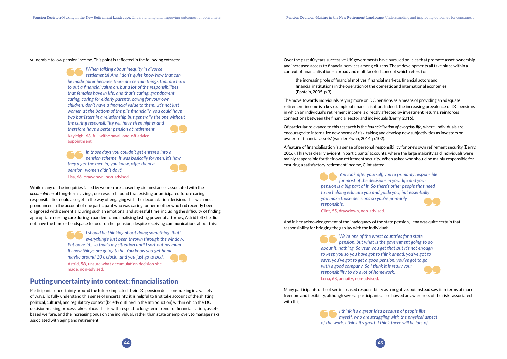

<span id="page-22-0"></span>vulnerable to low pension income. This point is reflected in the following extracts:

*[When talking about inequity in divorce settlements] And I don't quite know how that can be made fairer because there are certain things that are hard to put a financial value on, but a lot of the responsibilities that females have in life, and that's caring, grandparent caring, caring for elderly parents, caring for your own children, don't have a financial value to them…It's not just women at the bottom of the pile financially, you could have two barristers in a relationship but generally the one without the caring responsibility will have risen higher and therefore have a better pension at retirement.* Kayleigh, 63, full withdrawal, one-off advice appointment.

*In those days you couldn't get entered into a pension scheme, it was basically for men, it's how they'd get the men in, you know, offer them a pension, women didn't do it'.*  Lisa, 66, drawdown, non-advised.

While many of the inequities faced by women are caused by circumstances associated with the *accumulation* of long-term savings, our research found that existing or anticipated future caring responsibilities could also get in the way of engaging with the decumulation decision. This was most pronounced in the account of one participant who was caring for her mother who had recently been diagnosed with dementia. During such an emotional and stressful time, including the difficulty of finding appropriate nursing care during a pandemic and finalising lasting power of attorney, Astrid felt she did not have the time or headspace to focus on her pension, despite receiving communications about this:

> *I should be thinking about doing something, [but] everything's just been thrown through the window. Put on hold…so that's my situation until I sort out my mum. Its how things are going to be. You know you get home maybe around 10 o'clock…and you just go to bed.*  Astrid, 58, unsure what decumulation decision she made, non-advised.

#### Putting uncertainty into context: financialisation

Participants' uncertainty around the future impacted their DC pension decision-making in a variety of ways. To fully understand this sense of uncertainty, it is helpful to first take account of the shifting political, cultural, and regulatory context (briefly outlined in the Introduction) within which the DC decision-making process takes place. This is with respect to long-term trends of financialisation, assetbased welfare, and the increasing onus on the individual, rather than state or employer, to manage risks associated with aging and retirement.

Over the past 40 years successive UK governments have pursued policies that promote asset ownership and increased access to financial services among citizens. These developments all take place within a context of financialisation - a broad and multifaceted concept which refers to:

the increasing role of financial motives, financial markets, financial actors and financial institutions in the operation of the domestic and international economies (Epstein, 2005, p.3).

The move towards individuals relying more on DC pensions as a means of providing an adequate retirement income is a key example of financialisation. Indeed, the increasing prevalence of DC pensions in which an individual's retirement income is directly affected by investment returns, reinforces connections between the financial sector and individuals (Berry, 2016).

Of particular relevance to this research is the *financialisation of everyday life*, where 'individuals are encouraged to internalize new norms of risk-taking and develop new subjectivities as investors or owners of financial assets' (van der Zwan, 2014, p.102).

A feature of financialisation is a sense of personal responsibility for one's own retirement security (Berry, 2016). This was clearly evident in participants' accounts, where the large majority said individuals were mainly responsible for their own retirement security. When asked who should be mainly responsible for ensuring a satisfactory retirement income, Clint stated:

> *You look after yourself, you're primarily responsible for most of the decisions in your life and your pension is a big part of it. So there's other people that need to be helping educate you and guide you, but essentially you make those decisions so you're primarily responsible.*

Clint, 55, drawdown, non-advised.

And in her acknowledgement of the inadequacy of the state pension, Lena was quite certain that responsibility for bridging the gap lay with the individual:

> *We're one of the worst countries for a state pension, but what is the government going to do about it, nothing. So yeah you get that but it's not enough to keep you so you have got to think ahead, you've got to save, you've got to get a good pension, you've got to go with a good company. So I think it is really your responsibility to do a lot of homework.*  Lena, 68, annuity, non-advised.

Many participants did not see increased responsibility as a negative, but instead saw it in terms of more freedom and flexibility, although several participants also showed an awareness of the risks associated with this:

> *I think it's a great idea because of people like myself, who are struggling with the physical aspect of the work. I think it's great. I think there will be lots of*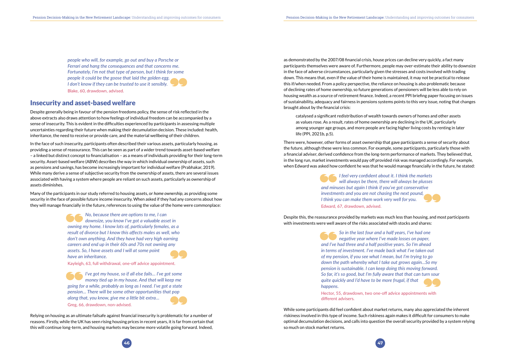<span id="page-23-0"></span>*people who will, for example, go out and buy a Porsche or Ferrari and hang the consequences and that concerns me. Fortunately, I'm not that type of person, but I think for some people it could be the goose that laid the golden egg. I don't know if they can be trusted to use it sensibly.*  Blake, 60, drawdown, advised.

#### Insecurity and asset-based welfare

Despite generally being in favour of the pension freedoms policy, the sense of risk reflected in the above extracts also draws attention to how feelings of individual freedom can be accompanied by a sense of insecurity. This is evident in the difficulties experienced by participants in assessing multiple uncertainties regarding their future when making their decumulation decision. These included: health, inheritance, the need to receive or provide care, and the material wellbeing of their children.

In the face of such insecurity, participants often described their various assets, particularly housing, as providing a sense of reassurance. This can be seen as part of a wider trend towards asset-based welfare – a linked but distinct concept to financialisation – as a means of individuals providing for their long-term security. Asset-based welfare (ABW) describes the way in which individual ownership of assets, such as pensions and savings, has become increasingly important for individual welfare (Prabhakar, 2019). While many derive a sense of subjective security from the ownership of assets, there are several issues associated with having a system where people are reliant on such assets, particularly as ownership of assets diminishes.

Many of the participants in our study referred to housing assets, or *home ownership*, as providing some security in the face of possible future income insecurity. When asked if they had any concerns about how they will manage financially in the future, references to using the value of the home were commonplace:

> *No, because there are options to me, I can downsize, you know I've got a valuable asset in owning my home. I know lots of, particularly females, as a result of divorce but I know this affects males as well, who don't own anything. And they have had very high earning careers and end up in their 60s and 70s not owning any assets. So, I have assets and I will at some point have an inheritance.*

Kayleigh, 63, full withdrawal, one-off advice appointment.

*I've got my house, so if all else fails… I've got some money tied up in my house. And that will keep me going for a while, probably as long as I need. I've got a state pension… There will be some other opportunities that pop along that, you know, give me a little bit extra…*  Greg, 66, drawdown, non-advised.

Relying on housing as an ultimate failsafe against financial insecurity is problematic for a number of reasons. Firstly, while the UK has seen rising housing prices in recent years, it is far from certain that this will continue long-term, and housing markets may become more volatile going forward. Indeed,

as demonstrated by the 2007/08 financial crisis, house prices can decline very quickly, a fact many participants themselves were aware of. Furthermore, people may over-estimate their ability to downsize in the face of adverse circumstances, particularly given the stresses and costs involved with trading down. This means that, even if the value of their home is maintained, it may not be practical to release this if/when needed. From a policy perspective, the reliance on housing is also problematic because of declining rates of home ownership, so future generations of pensioners will be less able to rely on housing wealth as a source of retirement finance. Indeed, a recent PPI briefing paper focusing on issues of sustainability, adequacy and fairness in pensions systems points to this very issue, noting that changes brought about by the financial crisis:

catalysed a significant redistribution of wealth towards owners of homes and other assets as values rose. As a result, rates of home ownership are declining in the UK, particularly among younger age groups, and more people are facing higher living costs by renting in later life (PPI, 2021b, p.5).

There were, however, other forms of asset ownership that gave participants a sense of security about the future, although these were less common. For example, some participants, particularly those with a financial adviser, derived confidence from the long-term performance of markets. They believed that, in the long run, market investments would pay off provided risk was managed accordingly. For example, when Edward was asked how confident he was that he would manage financially in the future, he stated:

> *I feel very confident about it. I think the markets will always be there, there will always be plusses and minuses but again I think if you've got conservative investments and you are not chasing the next pound, I think you can make them work very well for you.*  Edward, 67, drawdown, advised.

Despite this, the reassurance provided by markets was much less than housing, and most participants with investments were well aware of the risks associated with stocks and shares:

> *So in the last four and a half years, I've had one negative year where I've made losses on paper, and I've had three and a half positive years. So I'm ahead in terms of investment. I've made back what I've taken out of my pension, if you see what I mean, but I'm trying to go down the path whereby what I take out grows again…So my pension is sustainable. I can keep doing this moving forward. So far, it's so good, but I'm fully aware that that can turn sour quite quickly and I'd have to be more frugal, if that happens.*

Hector, 55, drawdown, two one-off advice appointments with different advisers.

While some participants did feel confident about market returns, many also appreciated the inherent riskiness involved in this type of income. Such riskiness again makes it difficult for consumers to make optimal decumulation decisions, and calls into question the overall security provided by a system relying so much on stock market returns.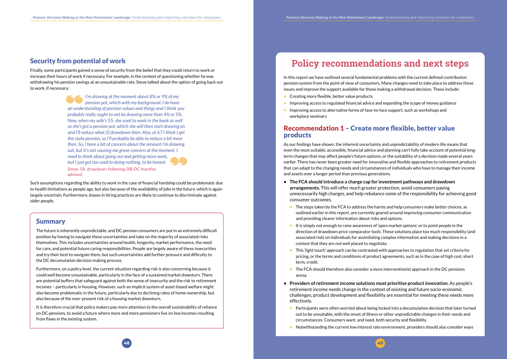

#### <span id="page-24-0"></span>Security from potential of work

Finally, some participants gained a sense of security from the belief that they could return to work or increase their hours of work if necessary. For example, in the context of questioning whether he was withdrawing his pension savings at an unsustainable rate, Steve talked about the option of going back out to work, if necessary:

> *I'm drawing at the moment about 8% or 9% of my pension pot, which with my background, I do have an understanding of pension values and things and I think you probably really ought to not be drawing more than 4% or 5%. Now, when my wife's 55, she used to work in the bank as well so she's got a pension pot, which she will then start drawing on and I'll reduce what [I] drawdown then. Also, at 67 I think I get the state pension, so I'll probably be able to reduce a bit more then. So, I have a bit of concern about the amount I'm drawing out, but it's not causing me grave concern at the moment. I need to think about going out and getting more work, but I just got too used to doing nothing, to be honest.* Steve, 58, drawdown following DB-DC transfer, advised.

Such assumptions regarding the ability to work in the case of financial hardship could be problematic due to health limitations as people age, but also because of the availability of jobs in the future, which is again largely uncertain. Furthermore, biases in hiring practices are likely to continue to discriminate against older people.

#### **Summary**

- Creating more flexible, better value products
- Improving access to regulated financial advice and expanding the scope of money guidance
- Improving access to alternative forms of face-to-face support, such as workshops and workplace seminars

The future is inherently unpredictable, and DC pension consumers are put in an extremely difficult position by having to navigate these uncertainties and take on the majority of associated risks themselves. This includes uncertainties around health, longevity, market performance, the need for care, and potential future caring responsibilities. People are largely aware of these insecurities and try their best to navigate them, but such uncertainties add further pressure and difficulty to the DC decumulation decision making process.

- **• The FCA should introduce a charge cap for investment pathways and drawdown arrangements.** This will offer much greater protection, avoid consumers paying unnecessarily high charges, and help rebalance some of the responsibility for achieving good consumer outcomes.
	- and providing clearer information about risks and options.
	- It is simply not enough to raise awareness of 'open market options' or to point people in the associated risk) on individuals for assimilating complex information and making decisions in a context that they are not well placed to negotiate.
- This 'light touch' approach can be contrasted with approaches to regulation that set criteria for term, credit.
- The FCA should therefore also consider a more interventionist approach in the DC pensions arena.
- **• Providers of retirement income solutions must prioritise product innovation.** As people's retirement income needs change in the context of existing and future socio-economic challenges, product development and flexibility are essential for meeting these needs more effectively.
	- Participants were often worried about being locked into a decumulation decision that later turned out to be unsuitable, with the onset of illness or other unpredictable changes in their needs and circumstances. Consumers want, and need, both security and flexibility.
	- Notwithstanding the current low interest rate environment, providers should also consider ways

• The steps taken by the FCA to address the harms and help consumers make better choices, as outlined earlier in this report, are currently geared around improving consumer communication

Furthermore, on a policy level, the current situation regarding risk is also concerning because it could well become unsustainable, particularly in the face of a sustained market downturn. There are potential buffers that safeguard against both the sense of insecurity and the risk to retirement incomes – particularly in housing. However, such an implicit system of asset-based welfare might also become problematic in the future, particularly due to declining rates of home ownership, but also because of the ever-present risk of a housing market downturn.

It is therefore crucial that policy makers pay more attention to the overall sustainability of reliance on DC pensions, to avoid a future where more and more pensioners live on low incomes resulting from flaws in the existing system.

# **Policy recommendations and next steps**

In this report we have outlined several fundamental problems with the current defined contribution pension system from the point of view of consumers. Many changes need to take place to address these issues and improve the support available for those making a withdrawal decision. These include:

#### Recommendation 1 – Create more flexible, better value products

As our findings have shown, the inherent uncertainty and unpredictability of modern life means that even the most suitable, accessible, financial advice and planning can't fully take account of potential longterm changes that may affect people's future options, or the suitability of a decision made several years earlier. There has never been greater need for innovative and flexible approaches to retirement products that can adapt to the changing needs and circumstances of individuals who have to manage their income and assets over a longer period than previous generations.

direction of drawdown price comparator tools. These solutions place too much responsibility (and

pricing, or the terms and conditions of product agreements, such as in the case of high cost, short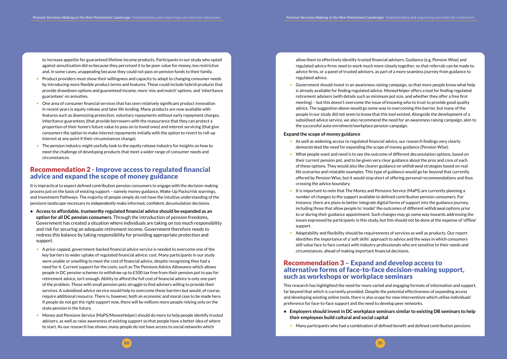<span id="page-25-0"></span>to increase appetite for guaranteed lifetime income products. Participants in our study who opted against annuitisation did so because they perceived it to be poor value for money, too restrictive and, in some cases, unappealing because they could not pass on pension funds to their family.

- Product providers must show their willingness and capacity to adapt to changing consumer needs by introducing more flexible product terms and features. These could include hybrid products that provide drawdown options *and* guaranteed income, more 'mix and match' options, and 'inheritance guarantees' on annuities.
- One area of consumer financial services that has seen relatively significant product innovation in recent years is equity release and later life lending. Many products are now available with features such as downsizing protection, voluntary repayments without early repayment charges, inheritance guarantees (that provide borrowers with the reassurance that they can protect a proportion of their home's future value to pass on to loved ones) and interest servicing (that give consumers the option to make interest repayments initially with the option to revert to roll-up interest at any point if their circumstances change).
- The pension industry might usefully look to the equity release industry for insights on how to meet the challenge of developing products that meet a wider range of consumer needs and circumstances.

#### Recommendation 2 - Improve access to regulated financial advice and expand the scope of money guidance

It is impractical to expect defined contribution pension consumers to engage with the decision-making process *just* on the basis of existing support – namely money guidance, Wake-Up Packs/risk warnings, and Investment Pathways. The majority of people simply do not have the intuitive understanding of the pensions landscape necessary to *independently* make informed, confident, decumulation decisions.

• Government should invest in an awareness raising campaign, so that more people know what help retirement advisers (with details such as minimum pot size, and whether they offer a free first meeting) – but this doesn't overcome the issue of knowing who to trust to provide good quality advice. The suggestion above would go some way to overcoming this barrier, but many of the people in our study did not seem to know that this tool existed. Alongside the development of a the successful auto-enrolment/workplace pension campaign.

- **• Access to affordable,** *trustworthy* **regulated financial advice should be expanded as an option for all DC pension consumers**. Through the introduction of pension freedoms, Government has created a situation where individuals are taking on too much responsibility and risk for securing an adequate retirement income. Government therefore needs to redress this balance by taking responsibility for providing appropriate protection and support.
	- A price-capped, government-backed financial advice service is needed to overcome one of the key barriers to wider uptake of regulated financial advice: cost. Many participants in our study were unable or unwilling to meet the cost of financial advice, despite recognising they had a need for it. Current support for the costs, such as The Pensions Advice Allowance which allows people in DC pension schemes to withdraw up to £500 tax free from their pension pot to pay for retirement advice, isn't enough. Ability to afford the full cost of financial advice is only one part of the problem. Those with small pension pots struggle to find advisers willing to provide their services. A subsidised advice service would help to overcome these barriers but would, of course, require additional resource. There is, however, both an economic and moral case to be made here. If people do not get the right support now, there will be millions more people relying only on the state pension in the future.
	- Money and Pensions Service (MaPS/MoneyHelper) should do more to help people identify trusted advisers, as well as raise awareness of existing support so that people have a better idea of where to start. As our research has shown, many people do not have access to social networks which
- As well as widening access to regulated financial advice, our research findings very clearly demonstrated the need for expanding the scope of money guidance (Pension Wise).
- What people want and need is to see the outcome of different decumulation options, based on their current pension pot, and to be given very clear guidance about the pros and cons of each of these options. They would also like clearer guidance on withdrawal strategies based on real life scenarios and relatable examples. This type of guidance would go far beyond that currently crossing the advice boundary.
- It is important to note that The Money and Pensions Service (MaPS) are currently planning a number of changes to the support available to defined contribution pension consumers. For instance, there are plans to better integrate digital forms of support into the guidance journey, including those that allow people to 'model' the outcomes of different withdrawal options prior support.
- Adaptability and flexibility should be requirements of services as well as products. Our report identifies the importance of a 'soft skills' approach to advice and the ways in which consumers still value face to face contact with industry professionals who are sensitive to their needs and circumstances, ahead of making important financial decisions.

- **• Employers should invest in DC workplace seminars similar to existing DB seminars to help their employees build cultural and social capital** 
	- Many participants who had a combination of defined benefit and defined contribution pensions



allow them to effectively identify trusted financial advisers. Guidance (e.g. Pension Wise) and regulated advice firms need to work much more closely together, so that referrals can be made to advice firms, or a panel of trusted advisers, as part of a more seamless journey from guidance to regulated advice.

is already available for finding regulated advice. MoneyHelper offers a tool for finding regulated subsidised advice service, we also recommend the need for an awareness raising campaign, akin to

#### **Expand the scope of money guidance**

offered by Pension Wise, but it would stop short of offering personal recommendations and thus

to or during their guidance appointment. Such changes may go some way towards addressing the issues expressed by participants in this study, but this should not be done at the expense of 'offline'

#### Recommendation 3 – Expand and develop access to alternative forms of face-to-face decision-making support, such as workshops or workplace seminars

This research has highlighted the need for more varied and engaging formats of information and support, far beyond that which is currently provided. Despite the potential effectiveness of expanding access and developing existing online tools, there is also scope for new interventions which utilise individuals' preference for face-to-face support and the need to develop peer networks.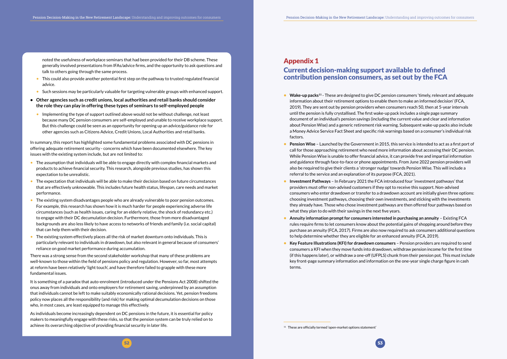

<span id="page-26-0"></span>noted the usefulness of workplace seminars that had been provided for their DB scheme. These generally involved presentations from IFAs/advice firms, and the opportunity to ask questions and talk to others going through the same process.

- This could also provide another potential first step on the pathway to trusted regulated financial advice.
- Such sessions may be particularly valuable for targeting vulnerable groups with enhanced support.
- **• Other agencies such as credit unions, local authorities and retail banks should consider the role they can play in offering these types of seminars to self-employed people**
	- Implementing the type of support outlined above would not be without challenge, not least because many DC pension consumers are self-employed and unable to receive workplace support. But this challenge could be seen as an opportunity for opening up an advice/guidance role for other agencies such as Citizens Advice, Credit Unions, Local Authorities and retail banks.

In summary, this report has highlighted some fundamental problems associated with DC pensions in offering adequate retirement security - concerns which have been documented elsewhere. The key issues with the existing system include, but are not limited to:

- The assumption that individuals will be able to engage directly with complex financial markets and products to achieve financial security. This research, alongside previous studies, has shown this expectation to be unrealistic.
- The expectation that individuals will be able to make their decision based on future circumstances that are effectively unknowable. This includes future health status, lifespan, care needs and market performance.
- The existing system disadvantages people who are already vulnerable to poor pension outcomes. For example, this research has shown how it is much harder for people experiencing adverse life circumstances (such as health issues, caring for an elderly relative, the shock of redundancy etc.) to engage with their DC decumulation decision. Furthermore, those from more disadvantaged backgrounds are also less likely to have access to networks of friends and family (i.e. social capital) that can help them with their decision.
- The existing system effectively places all the risk of market downturn onto individuals. This is particularly relevant to individuals in drawdown, but also relevant in general because of consumers' reliance on good market performance during accumulation.

There was a strong sense from the second stakeholder workshop that many of these problems are well-known to those within the field of pensions policy and regulation. However, so far, most attempts at reform have been relatively 'light touch', and have therefore failed to grapple with these more fundamental issues.

- **• Wake-up packs**<sup>11</sup> These are designed to give DC pension consumers 'timely, relevant and adequate information about their retirement options to enable them to make an informed decision' (FCA, 2019). They are sent out by pension providers when consumers reach 50, then at 5-year intervals until the pension is fully crystallised. The first wake-up pack includes a single page summary document of an individual's pension savings (including the current value and clear and information about Pension Wise) and a generic retirement risk warning. Subsequent wake-up packs also include a Money Advice Service Fact Sheet and specific risk warnings based on a consumer's individual risk factors.
- **• Pension Wise** Launched by the Government in 2015, this service is intended to act as a first port of call for those approaching retirement who need more information about accessing their DC pension. While Pension Wise is unable to offer financial advice, it can provide free and impartial information and guidance through face-to-face or phone appointments. From June 2022 pension providers will also be required to give their clients a 'stronger nudge' towards Pension Wise. This will include a referral to the service and an explanation of its purpose (FCA, 2021).
- **• Investment Pathways** In February 2021 the FCA introduced four 'investment pathways' that providers must offer non-advised customers if they opt to receive this support. Non-advised consumers who enter drawdown or transfer to a drawdown account are initially given three options: choosing investment pathways, choosing their own investments, and sticking with the investments they already have. Those who chose investment pathways are then offered four pathways based on what they plan to do with their savings in the next five years.
- **• Annuity information prompt for consumers interested in purchasing an annuity** Existing FCA rules require firms to let consumers know about the potential gains of shopping around before they purchase an annuity (FCA, 2017). Firms are also now required to ask consumers additional questions to help determine whether they are eligible for an enhanced annuity (FCA, 2019).
- **• Key Feature Illustrations (KFI) for drawdown consumers** Pension providers are required to send consumers a KFI when they move funds into drawdown, withdraw pension income for the first time (if this happens later), or withdraw a one-off (UFPLS) chunk from their pension pot. This must include key front-page summary information and information on the one-year single charge figure in cash terms.

<sup>11</sup> These are officially termed 'open-market options statement'

It is something of a paradox that auto-enrolment (introduced under the Pensions Act 2008) shifted the onus away from individuals and onto employers for retirement saving, underpinned by an assumption that individuals cannot be left to make suitably economically rational decisions. Yet, pension freedoms policy now places all the responsibility (and risk) for making optimal decumulation decisions on those who, in most cases, are least equipped to manage this effectively.

As individuals become increasingly dependent on DC pensions in the future, it is essential for policy makers to meaningfully engage with these risks, so that the pension system can be truly relied on to achieve its overarching objective of providing financial security in later life.

### Appendix 1 Current decision-making support available to defined contribution pension consumers, as set out by the FCA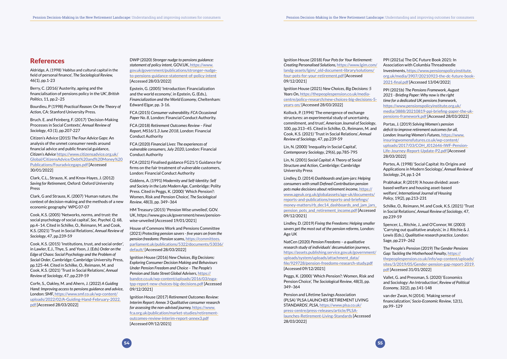#### <span id="page-27-0"></span>References

Aldridge, A. (1998) '*Habitus* and cultural capital in the field of personal finance', *The Sociological Review,*  46(1), pp.1-23

Berry, C. (2016) 'Austerity, ageing and the financialisation of pensions policy in the UK', *British Politics*, 11, pp.2–25

Bourdieu, P (1998) *Practical Reason: On the Theory of Action*, CA: Stanford University Press.

Bruch. E. and Feinberg, F. (2017) 'Decision-Making Processes in Social Contexts', *Annual Review of Sociology*, 43 (1), pp.207-227

Citizen's Advice (2015) *The Four Advice Gaps*: An analysis of the unmet consumer needs around financial advice and public financial guidance, *Citizen's Advice* [https://www.citizensadvice.org.uk/](https://www.citizensadvice.org.uk/Global/CitizensAdvice/Debt%20and%20Money%20Publications/Fouradvicegaps.pdf) [Global/CitizensAdvice/Debt%20and%20Money%20](https://www.citizensadvice.org.uk/Global/CitizensAdvice/Debt%20and%20Money%20Publications/Fouradvicegaps.pdf) [Publications/Fouradvicegaps.pdf](https://www.citizensadvice.org.uk/Global/CitizensAdvice/Debt%20and%20Money%20Publications/Fouradvicegaps.pdf) [Accessed 30/01/2022]

Clark, C.L., Strauss, K. and Knox-Hayes, J. (2012) *Saving for Retirement,* Oxford: Oxford University Press

Clark, G and Strauss, K. (2007) 'Human nature, the context of decision-making and the methods of a new economic geography' WPG 07-07

Cook, K.S. (2005) 'Networks, norms, and trust: the social psychology of social capital', *Soc. Psychol. Q*. 68, pp.4–14. Cited in Schilke, O., Reimann, M. and Cook, K.S. (2021) 'Trust in Social Relations', *Annual Review of Sociology*, 47, pp.239-59

Cook, K.S. (2015) 'Institutions, trust, and social order', in Lawler, E.J., Thye, S. and Yoon, J. (Eds) *Order on the Edge of Chaos: Social Psychology and the Problem of Social Order*, Cambridge: Cambridge University Press, pp.125-44. Cited in Schilke, O., Reimann, M. and Cook, K.S. (2021) 'Trust in Social Relations', *Annual Review of Sociology*, 47, pp.239-59

Corfe, S., Oakley, M. and Ahern, J. (2022) *A Guiding Hand: Improving access to pensions guidance and advice*, London: SMF, [https://www.smf.co.uk/wp-content/](https://www.smf.co.uk/wp-content/uploads/2022/02/A-Guiding-Hand-February-2022.pdf) [uploads/2022/02/A-Guiding-Hand-February-2022.](https://www.smf.co.uk/wp-content/uploads/2022/02/A-Guiding-Hand-February-2022.pdf) [pdf](https://www.smf.co.uk/wp-content/uploads/2022/02/A-Guiding-Hand-February-2022.pdf) [Accessed 28/03/2022]

DWP (2020) *Stronger nudge to pensions guidance: statement of policy intent,* GOV.UK, [https://www.](https://www.gov.uk/government/publications/stronger-nudge-to-pensions-guidance-statement-of-policy-intent) [gov.uk/government/publications/stronger-nudge](https://www.gov.uk/government/publications/stronger-nudge-to-pensions-guidance-statement-of-policy-intent)[to-pensions-guidance-statement-of-policy-intent](https://www.gov.uk/government/publications/stronger-nudge-to-pensions-guidance-statement-of-policy-intent) [Accessed 28/03/2022]

Epstein, G. (2005) 'Introduction: Financialization and the world economy', in Epstein, G. (Eds.), *Financialization and the World Economy*, Cheltenham: Edward Elgar, pp. 3-16.

FCA (2015) *Consumer vulnerability. FCA Occasional Paper No. 8*, London: Financial Conduct Authority.

FCA (2018) *Retirement Outcomes Review – Final Report, MS16/1.3 June 2018*, London: Financial Conduct Authority

FCA (2020) *Financial Lives: The experiences of vulnerable consumers, July 2020*, London: Financial Conduct Authority

FCA (2021) Finalised guidance FG21/1 Guidance for firms on the fair treatment of vulnerable customers, London: Financial Conduct Authority

Giddens, A. (1991) *Modernity and Self-Identity: Self and Society in the Late Modern Age*, Cambridge: Polity Press. Cited in Peggs, K. (2000) 'Which Pension?: Women, Risk and Pension Choice', *The Sociological Review*, 48(3), pp. 349–364

HM Treasury (2015) 'Pension Wise unveiled', GOV. UK, https://www.gov.uk/government/news/pensionwise-unveiled [Accessed 19/01/2021]

House of Commons Work and Pensions Committee (2021) *Protecting pension savers - five years on from the pension freedoms: Pension scams*, [https://committees.](https://committees.parliament.uk/publications/5322/documents/53036/default/) [parliament.uk/publications/5322/documents/53036/](https://committees.parliament.uk/publications/5322/documents/53036/default/) [default/](https://committees.parliament.uk/publications/5322/documents/53036/default/) [Accessed 28/03/2022]

Ignition House (2016) *New Choices, Big Decisions: Exploring Consumer Decision Making and Behaviours Under Pension Freedom and Choice – The People's Pension and State Street Global Advisers*, [https://](https://bandce.co.uk/wp-content/uploads/2016/03/ssga-tpp-report-new-choices-big-decisions.pdf) [bandce.co.uk/wp-content/uploads/2016/03/ssga](https://bandce.co.uk/wp-content/uploads/2016/03/ssga-tpp-report-new-choices-big-decisions.pdf)[tpp-report-new-choices-big-decisions.pdf](https://bandce.co.uk/wp-content/uploads/2016/03/ssga-tpp-report-new-choices-big-decisions.pdf) [Accessed 09/12/2021]

Ignition House (2017) *Retirement Outcomes Review: Interim Report: Annex 3 Qualitative consumer research for assessing the non-advised journey,* [https://www.](https://www.fca.org.uk/publication/market-studies/retirement-outcomes-review-interim-report-annex3.pdf) [fca.org.uk/publication/market-studies/retirement](https://www.fca.org.uk/publication/market-studies/retirement-outcomes-review-interim-report-annex3.pdf)[outcomes-review-interim-report-annex3.pdf](https://www.fca.org.uk/publication/market-studies/retirement-outcomes-review-interim-report-annex3.pdf) [Accessed 09/12/2021]

Ignition House (2018) *Four Pots for Your Retirement: Creating Personalised Solutions,* [https://www.lgim.com/](https://www.lgim.com/landg-assets/lgim/_old-document-library/solutions/four-pots-for-your-retirement.pdf) [landg-assets/lgim/\\_old-document-library/solutions/](https://www.lgim.com/landg-assets/lgim/_old-document-library/solutions/four-pots-for-your-retirement.pdf) [four-pots-for-your-retirement.pdf](https://www.lgim.com/landg-assets/lgim/_old-document-library/solutions/four-pots-for-your-retirement.pdf) [Accessed 09/12/2021]

Ignition House (2021) *New Choices, Big Decisions: 5 Years On*, [https://thepeoplespension.co.uk/media](https://thepeoplespension.co.uk/media-centre/policy-research/new-choices-big-decisions-5-years-on/)[centre/policy-research/new-choices-big-decisions-5](https://thepeoplespension.co.uk/media-centre/policy-research/new-choices-big-decisions-5-years-on/) [years-on/](https://thepeoplespension.co.uk/media-centre/policy-research/new-choices-big-decisions-5-years-on/) [Accessed 28/03/2022]

Kollock, P. (1994) 'The emergence of exchange structures: an experimental study of uncertainty, commitment, and trust', *American Journal of Sociology*, 100, pp.313–45. Cited in Schilke, O., Reimann, M. and Cook, K.S. (2021) 'Trust in Social Relations', *Annual Review of Sociology*, 47, pp.239-59

Lin, N. (2000) 'Inequality in Social Capital', *Contemporary Sociology*, 29(6), pp.785-795

Lin, N. (2001) *Social Capital: A Theory of Social Structure and Action*, Cambridge: Cambridge University Press

Lindley, D. (2014) *Dashboards and jam-jars: Helping consumers with small Defined Contribution pension pots make decisions about retirement income,* [https://](https://www.ageuk.org.uk/globalassets/age-uk/documents/reports-and-publications/reports-and-briefings/money-matters/rb_dec14_dashboards_and_jam_jars_pension_pots_and_retirement_income.pdf) [www.ageuk.org.uk/globalassets/age-uk/documents/](https://www.ageuk.org.uk/globalassets/age-uk/documents/reports-and-publications/reports-and-briefings/money-matters/rb_dec14_dashboards_and_jam_jars_pension_pots_and_retirement_income.pdf) [reports-and-publications/reports-and-briefings/](https://www.ageuk.org.uk/globalassets/age-uk/documents/reports-and-publications/reports-and-briefings/money-matters/rb_dec14_dashboards_and_jam_jars_pension_pots_and_retirement_income.pdf) [money-matters/rb\\_dec14\\_dashboards\\_and\\_jam\\_jars\\_](https://www.ageuk.org.uk/globalassets/age-uk/documents/reports-and-publications/reports-and-briefings/money-matters/rb_dec14_dashboards_and_jam_jars_pension_pots_and_retirement_income.pdf) pension pots and retirement income.pdf [Accessed] 09/12/2021]

Lindley, D. (2019) *Fixing the Freedoms: Helping smaller savers get the most out of the pension reforms,* London: Age UK

NatCen (2020) *Pension Freedoms – a qualitative research study of individuals' decumulation journeys,*  [https://assets.publishing.service.gov.uk/government/](https://assets.publishing.service.gov.uk/government/uploads/system/uploads/attachment_data/file/929728/pension-freedoms-research-study.pdf) [uploads/system/uploads/attachment\\_data/](https://assets.publishing.service.gov.uk/government/uploads/system/uploads/attachment_data/file/929728/pension-freedoms-research-study.pdf) [file/929728/pension-freedoms-research-study.pdf](https://assets.publishing.service.gov.uk/government/uploads/system/uploads/attachment_data/file/929728/pension-freedoms-research-study.pdf) [Accessed 09/12/2021]

Peggs, K. (2000) 'Which Pension?: Women, Risk and Pension Choice', *The Sociological Review*, 48(3), pp. 349–364

Pension and Lifetime Savings Association (PLSA) 'PLSA LAUNCHES RETIREMENT LIVING STANDARDS', *PLSA*, [https://www.plsa.co.uk/](https://www.plsa.co.uk/press-centre/press-releases/article/PLSA-launches-Retirement-Living-Standards) [press-centre/press-releases/article/PLSA](https://www.plsa.co.uk/press-centre/press-releases/article/PLSA-launches-Retirement-Living-Standards)[launches-Retirement-Living-Standards](https://www.plsa.co.uk/press-centre/press-releases/article/PLSA-launches-Retirement-Living-Standards) [Accessed 28/03/2022]

PPI (2021a) The DC Future Book 2021: In Association with Columbia Threadneedle Investments, https://www.pensionspolicyinstitute. org.uk/media/3907/20210923-the-dc-future-book-2021-final.pdf [Accessed 13/04/2022]

PPI (2021b) *The Pensions Framework, August 2021 - Briefing Paper: Why now is the right time for a dedicated UK pensions framework*, [https://www.pensionspolicyinstitute.org.uk/](https://www.pensionspolicyinstitute.org.uk/media/3888/20210819-ppi-briefing-paper-the-uk-pensions-framework.pdf) [media/3888/20210819-ppi-briefing-paper-the-uk](https://www.pensionspolicyinstitute.org.uk/media/3888/20210819-ppi-briefing-paper-the-uk-pensions-framework.pdf)[pensions-framework.pdf](https://www.pensionspolicyinstitute.org.uk/media/3888/20210819-ppi-briefing-paper-the-uk-pensions-framework.pdf) [Accessed 28/03/2022]

Portas, J. (2019) *Solving Women's pension deficit to improve retirement outcomes for all, London: Insuring Women's Futures*, [https://www.](https://www.insuringwomensfutures.co.uk/wp-content/uploads/2017/03/COH_J012646-IWF-Pension-Life-Journey-Report-Update-P2.pdf)

[insuringwomensfutures.co.uk/wp-content/](https://www.insuringwomensfutures.co.uk/wp-content/uploads/2017/03/COH_J012646-IWF-Pension-Life-Journey-Report-Update-P2.pdf) [uploads/2017/03/COH\\_J012646-IWF-Pension-](https://www.insuringwomensfutures.co.uk/wp-content/uploads/2017/03/COH_J012646-IWF-Pension-Life-Journey-Report-Update-P2.pdf)[Life-Journey-Report-Update-P2.pdf](https://www.insuringwomensfutures.co.uk/wp-content/uploads/2017/03/COH_J012646-IWF-Pension-Life-Journey-Report-Update-P2.pdf) [Accessed 28/03/2022]

Portes, A. (1998) 'Social Capital: Its Origins and Applications in Modern Sociology', *Annual Review of Sociology*, 24, pp.1-24

Prabhakar, R (2019) 'A house divided: assetbased welfare and housing asset-based welfare', *International Journal of Housing Policy*, 19(2), pp.213-231

Schilke, O., Reimann, M. and Cook, K.S. (2021) 'Trust in Social Relations', *Annual Review of Sociology*, 47, pp.239-59

Spencer, L., Ritchie, J., and O'Connor, W. (2003) 'Carrying out qualitative analysis', in J. Ritchie & J. Lewis (Eds.), *Qualitative research practice*, London: Sage, pp.219–262

The People's Pension (2019) *The Gender Pensions Gap: Tackling the Motherhood Penalty*, [https://](https://thepeoplespension.co.uk/info/wp-content/uploads/sites/3/2019/05/Gender-pension-gap-report-2019.pdf) [thepeoplespension.co.uk/info/wp-content/uploads/](https://thepeoplespension.co.uk/info/wp-content/uploads/sites/3/2019/05/Gender-pension-gap-report-2019.pdf) [sites/3/2019/05/Gender-pension-gap-report-2019.](https://thepeoplespension.co.uk/info/wp-content/uploads/sites/3/2019/05/Gender-pension-gap-report-2019.pdf) [pdf](https://thepeoplespension.co.uk/info/wp-content/uploads/sites/3/2019/05/Gender-pension-gap-report-2019.pdf) [Accessed 31/01/2022]

Vallet, G. and Pressman, S. (2020) 'Economics and Sociology: An Introduction', *Review of Political Economy*, 32(2), pp.141-148

van der Zwan, N (2014). 'Making sense of financialization,' *Socio-Economic Review*, 12(1), pp.99–129